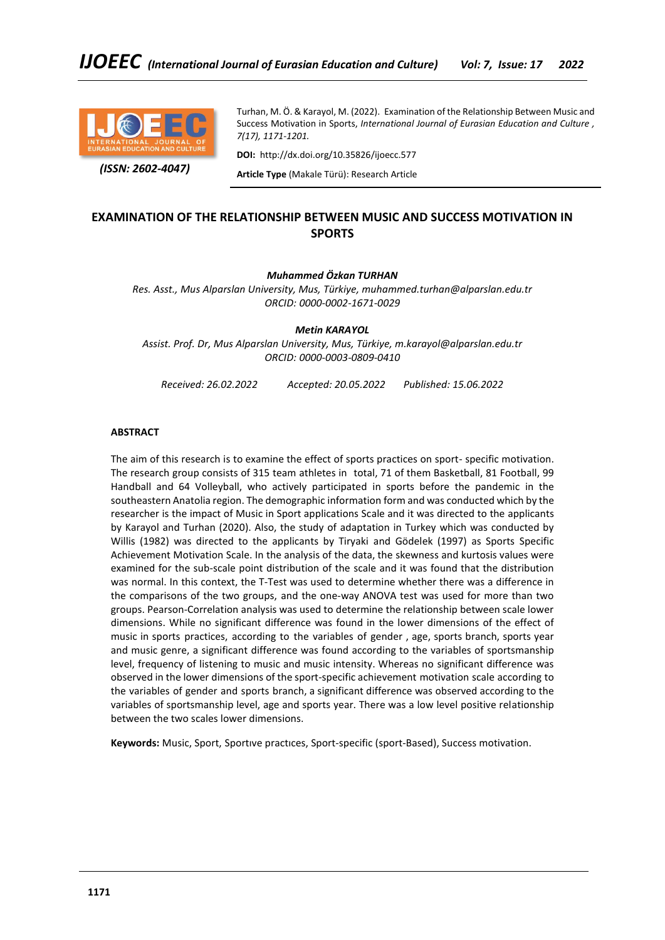

 *(ISSN: 2602-4047)*

Turhan, M. Ö. & Karayol, M. (2022). Examination of the Relationship Between Music and Success Motivation in Sports, *International Journal of Eurasian Education and Culture , 7(17), 1171-1201.*

**DOI:** http://dx.doi.org/10.35826/ijoecc.577

**Article Type** (Makale Türü): Research Article

# **EXAMINATION OF THE RELATIONSHIP BETWEEN MUSIC AND SUCCESS MOTIVATION IN SPORTS**

### *Muhammed Özkan TURHAN*

*Res. Asst., Mus Alparslan University, Mus, Türkiye, muhammed.turhan@alparslan.edu.tr ORCID: 0000-0002-1671-0029*

*Metin KARAYOL*

*Assist. Prof. Dr, Mus Alparslan University, Mus, Türkiye, m.karayol@alparslan.edu.tr ORCID: 0000-0003-0809-0410*

*Received: 26.02.2022 Accepted: 20.05.2022 Published: 15.06.2022*

### **ABSTRACT**

The aim of this research is to examine the effect of sports practices on sport- specific motivation. The research group consists of 315 team athletes in total, 71 of them Basketball, 81 Football, 99 Handball and 64 Volleyball, who actively participated in sports before the pandemic in the southeastern Anatolia region. The demographic information form and was conducted which by the researcher is the impact of Music in Sport applications Scale and it was directed to the applicants by Karayol and Turhan (2020). Also, the study of adaptation in Turkey which was conducted by Willis (1982) was directed to the applicants by Tiryaki and Gödelek (1997) as Sports Specific Achievement Motivation Scale. In the analysis of the data, the skewness and kurtosis values were examined for the sub-scale point distribution of the scale and it was found that the distribution was normal. In this context, the T-Test was used to determine whether there was a difference in the comparisons of the two groups, and the one-way ANOVA test was used for more than two groups. Pearson-Correlation analysis was used to determine the relationship between scale lower dimensions. While no significant difference was found in the lower dimensions of the effect of music in sports practices, according to the variables of gender , age, sports branch, sports year and music genre, a significant difference was found according to the variables of sportsmanship level, frequency of listening to music and music intensity. Whereas no significant difference was observed in the lower dimensions of the sport-specific achievement motivation scale according to the variables of gender and sports branch, a significant difference was observed according to the variables of sportsmanship level, age and sports year. There was a low level positive relationship between the two scales lower dimensions.

**Keywords:** Music, Sport, Sportıve practıces, Sport-specific (sport-Based), Success motivation.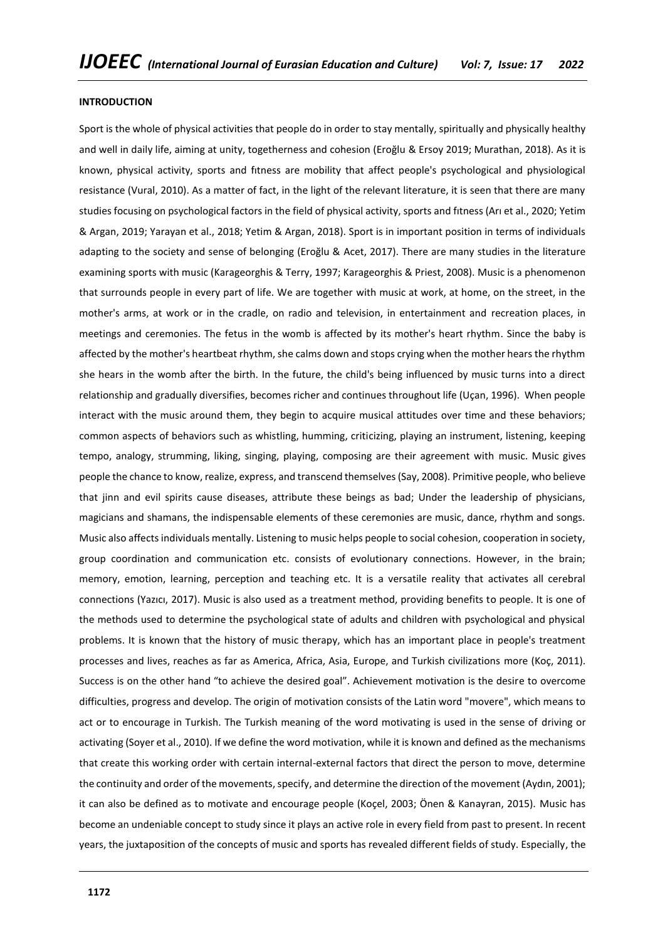### **INTRODUCTION**

Sport is the whole of physical activities that people do in order to stay mentally, spiritually and physically healthy and well in daily life, aiming at unity, togetherness and cohesion (Eroğlu & Ersoy 2019; Murathan, 2018). As it is known, physical activity, sports and fıtness are mobility that affect people's psychological and physiological resistance (Vural, 2010). As a matter of fact, in the light of the relevant literature, it is seen that there are many studies focusing on psychological factors in the field of physical activity, sports and fıtness (Arı et al., 2020; Yetim & Argan, 2019; Yarayan et al., 2018; Yetim & Argan, 2018). Sport is in important position in terms of individuals adapting to the society and sense of belonging (Eroğlu & Acet, 2017). There are many studies in the literature examining sports with music (Karageorghis & Terry, 1997; Karageorghis & Priest, 2008). Music is a phenomenon that surrounds people in every part of life. We are together with music at work, at home, on the street, in the mother's arms, at work or in the cradle, on radio and television, in entertainment and recreation places, in meetings and ceremonies. The fetus in the womb is affected by its mother's heart rhythm. Since the baby is affected by the mother's heartbeat rhythm, she calms down and stops crying when the mother hears the rhythm she hears in the womb after the birth. In the future, the child's being influenced by music turns into a direct relationship and gradually diversifies, becomes richer and continues throughout life (Uçan, 1996). When people interact with the music around them, they begin to acquire musical attitudes over time and these behaviors; common aspects of behaviors such as whistling, humming, criticizing, playing an instrument, listening, keeping tempo, analogy, strumming, liking, singing, playing, composing are their agreement with music. Music gives people the chance to know, realize, express, and transcend themselves (Say, 2008). Primitive people, who believe that jinn and evil spirits cause diseases, attribute these beings as bad; Under the leadership of physicians, magicians and shamans, the indispensable elements of these ceremonies are music, dance, rhythm and songs. Music also affects individuals mentally. Listening to music helps people to social cohesion, cooperation in society, group coordination and communication etc. consists of evolutionary connections. However, in the brain; memory, emotion, learning, perception and teaching etc. It is a versatile reality that activates all cerebral connections (Yazıcı, 2017). Music is also used as a treatment method, providing benefits to people. It is one of the methods used to determine the psychological state of adults and children with psychological and physical problems. It is known that the history of music therapy, which has an important place in people's treatment processes and lives, reaches as far as America, Africa, Asia, Europe, and Turkish civilizations more (Koç, 2011). Success is on the other hand "to achieve the desired goal". Achievement motivation is the desire to overcome difficulties, progress and develop. The origin of motivation consists of the Latin word "movere", which means to act or to encourage in Turkish. The Turkish meaning of the word motivating is used in the sense of driving or activating (Soyer et al., 2010). If we define the word motivation, while it is known and defined as the mechanisms that create this working order with certain internal-external factors that direct the person to move, determine the continuity and order of the movements, specify, and determine the direction of the movement (Aydın, 2001); it can also be defined as to motivate and encourage people (Koçel, 2003; Önen & Kanayran, 2015). Music has become an undeniable concept to study since it plays an active role in every field from past to present. In recent years, the juxtaposition of the concepts of music and sports has revealed different fields of study. Especially, the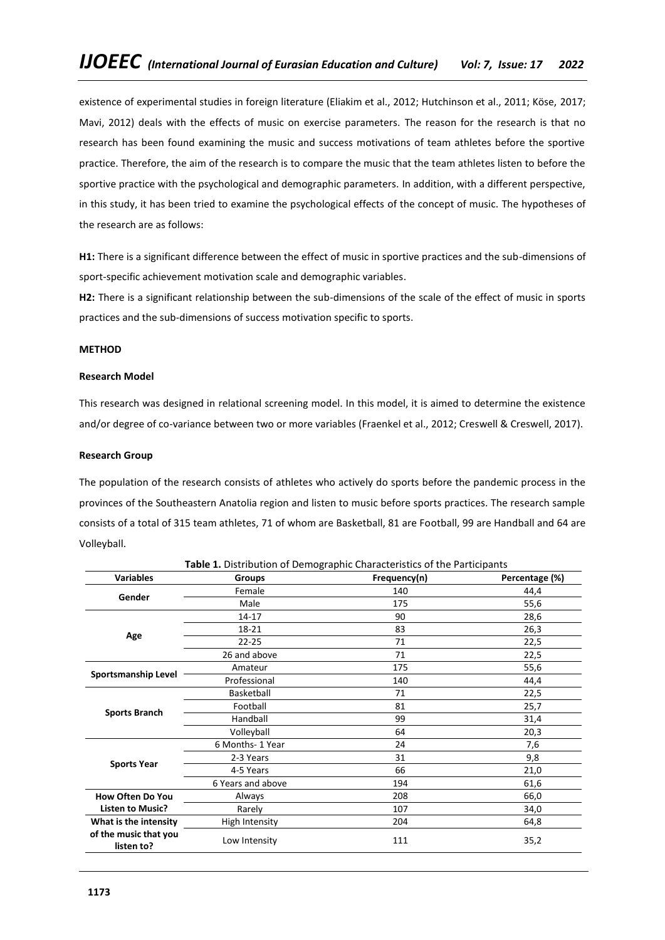existence of experimental studies in foreign literature (Eliakim et al., 2012; Hutchinson et al., 2011; Köse, 2017; Mavi, 2012) deals with the effects of music on exercise parameters. The reason for the research is that no research has been found examining the music and success motivations of team athletes before the sportive practice. Therefore, the aim of the research is to compare the music that the team athletes listen to before the sportive practice with the psychological and demographic parameters. In addition, with a different perspective, in this study, it has been tried to examine the psychological effects of the concept of music. The hypotheses of the research are as follows:

**H1:** There is a significant difference between the effect of music in sportive practices and the sub-dimensions of sport-specific achievement motivation scale and demographic variables.

**H2:** There is a significant relationship between the sub-dimensions of the scale of the effect of music in sports practices and the sub-dimensions of success motivation specific to sports.

### **METHOD**

### **Research Model**

This research was designed in relational screening model. In this model, it is aimed to determine the existence and/or degree of co-variance between two or more variables (Fraenkel et al., 2012; Creswell & Creswell, 2017).

### **Research Group**

The population of the research consists of athletes who actively do sports before the pandemic process in the provinces of the Southeastern Anatolia region and listen to music before sports practices. The research sample consists of a total of 315 team athletes, 71 of whom are Basketball, 81 are Football, 99 are Handball and 64 are Volleyball.

| <b>Variables</b>                    | Table 1. Distribution of Demographic Characteristics of the Participants<br><b>Groups</b> | Frequency(n) | Percentage (%) |  |
|-------------------------------------|-------------------------------------------------------------------------------------------|--------------|----------------|--|
|                                     | Female                                                                                    | 140          | 44,4           |  |
| Gender                              | Male                                                                                      | 175          | 55,6           |  |
|                                     | 14-17                                                                                     | 90           | 28,6           |  |
|                                     | 18-21                                                                                     | 83           | 26,3           |  |
| Age                                 | $22 - 25$                                                                                 | 71           | 22,5           |  |
|                                     | 26 and above                                                                              | 71           | 22,5           |  |
| <b>Sportsmanship Level</b>          | Amateur                                                                                   | 175          | 55,6           |  |
|                                     | Professional                                                                              | 140          | 44,4           |  |
|                                     | Basketball                                                                                | 71           | 22,5           |  |
|                                     | Football                                                                                  | 81           | 25,7           |  |
| <b>Sports Branch</b>                | Handball                                                                                  | 99           | 31,4           |  |
|                                     | Volleyball                                                                                | 64           | 20,3           |  |
|                                     | 6 Months- 1 Year                                                                          | 24           | 7,6            |  |
|                                     | 2-3 Years                                                                                 | 31           | 9,8            |  |
| <b>Sports Year</b>                  | 4-5 Years                                                                                 | 66           | 21,0           |  |
|                                     | 6 Years and above                                                                         | 194          | 61,6           |  |
| <b>How Often Do You</b>             | Always                                                                                    | 208          | 66,0           |  |
| <b>Listen to Music?</b>             | Rarely                                                                                    | 107          | 34,0           |  |
| What is the intensity               | High Intensity                                                                            | 204          | 64,8           |  |
| of the music that you<br>listen to? | Low Intensity                                                                             | 111          | 35,2           |  |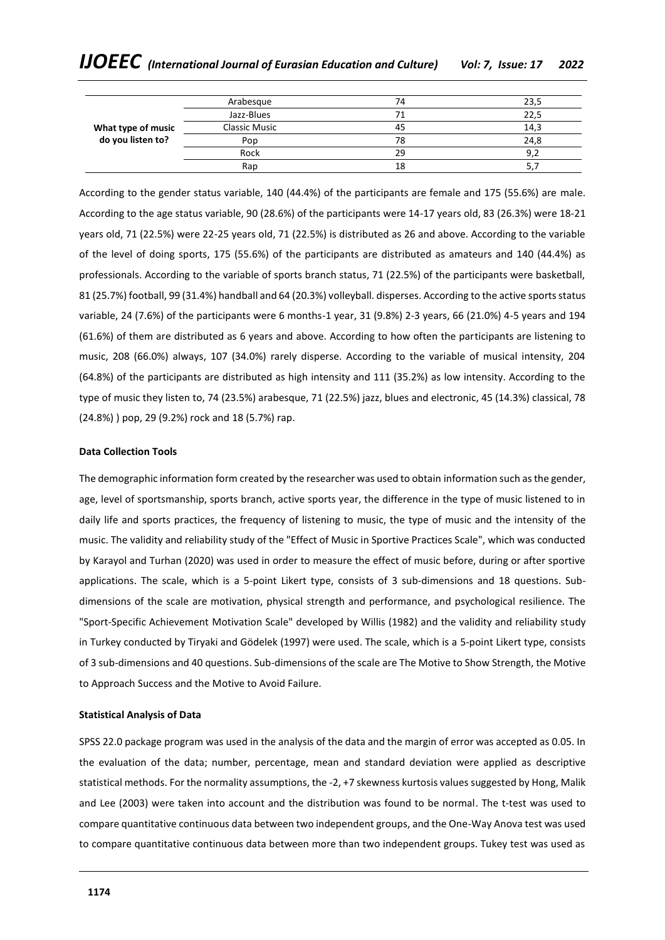|                    | Arabesque            | 74 | 23,5 |
|--------------------|----------------------|----|------|
|                    | Jazz-Blues           |    | 22,5 |
| What type of music | <b>Classic Music</b> | 45 | 14,3 |
| do you listen to?  | Pop                  | 78 | 24,8 |
|                    | Rock                 | 29 | 9,2  |
|                    | Rap                  | 18 | 5,   |

According to the gender status variable, 140 (44.4%) of the participants are female and 175 (55.6%) are male. According to the age status variable, 90 (28.6%) of the participants were 14-17 years old, 83 (26.3%) were 18-21 years old, 71 (22.5%) were 22-25 years old, 71 (22.5%) is distributed as 26 and above. According to the variable of the level of doing sports, 175 (55.6%) of the participants are distributed as amateurs and 140 (44.4%) as professionals. According to the variable of sports branch status, 71 (22.5%) of the participants were basketball, 81 (25.7%) football, 99 (31.4%) handball and 64 (20.3%) volleyball. disperses. According to the active sports status variable, 24 (7.6%) of the participants were 6 months-1 year, 31 (9.8%) 2-3 years, 66 (21.0%) 4-5 years and 194 (61.6%) of them are distributed as 6 years and above. According to how often the participants are listening to music, 208 (66.0%) always, 107 (34.0%) rarely disperse. According to the variable of musical intensity, 204 (64.8%) of the participants are distributed as high intensity and 111 (35.2%) as low intensity. According to the type of music they listen to, 74 (23.5%) arabesque, 71 (22.5%) jazz, blues and electronic, 45 (14.3%) classical, 78 (24.8%) ) pop, 29 (9.2%) rock and 18 (5.7%) rap.

# **Data Collection Tools**

The demographic information form created by the researcher was used to obtain information such as the gender, age, level of sportsmanship, sports branch, active sports year, the difference in the type of music listened to in daily life and sports practices, the frequency of listening to music, the type of music and the intensity of the music. The validity and reliability study of the "Effect of Music in Sportive Practices Scale", which was conducted by Karayol and Turhan (2020) was used in order to measure the effect of music before, during or after sportive applications. The scale, which is a 5-point Likert type, consists of 3 sub-dimensions and 18 questions. Subdimensions of the scale are motivation, physical strength and performance, and psychological resilience. The "Sport-Specific Achievement Motivation Scale" developed by Willis (1982) and the validity and reliability study in Turkey conducted by Tiryaki and Gödelek (1997) were used. The scale, which is a 5-point Likert type, consists of 3 sub-dimensions and 40 questions. Sub-dimensions of the scale are The Motive to Show Strength, the Motive to Approach Success and the Motive to Avoid Failure.

### **Statistical Analysis of Data**

SPSS 22.0 package program was used in the analysis of the data and the margin of error was accepted as 0.05. In the evaluation of the data; number, percentage, mean and standard deviation were applied as descriptive statistical methods. For the normality assumptions, the -2, +7 skewness kurtosis values suggested by Hong, Malik and Lee (2003) were taken into account and the distribution was found to be normal. The t-test was used to compare quantitative continuous data between two independent groups, and the One-Way Anova test was used to compare quantitative continuous data between more than two independent groups. Tukey test was used as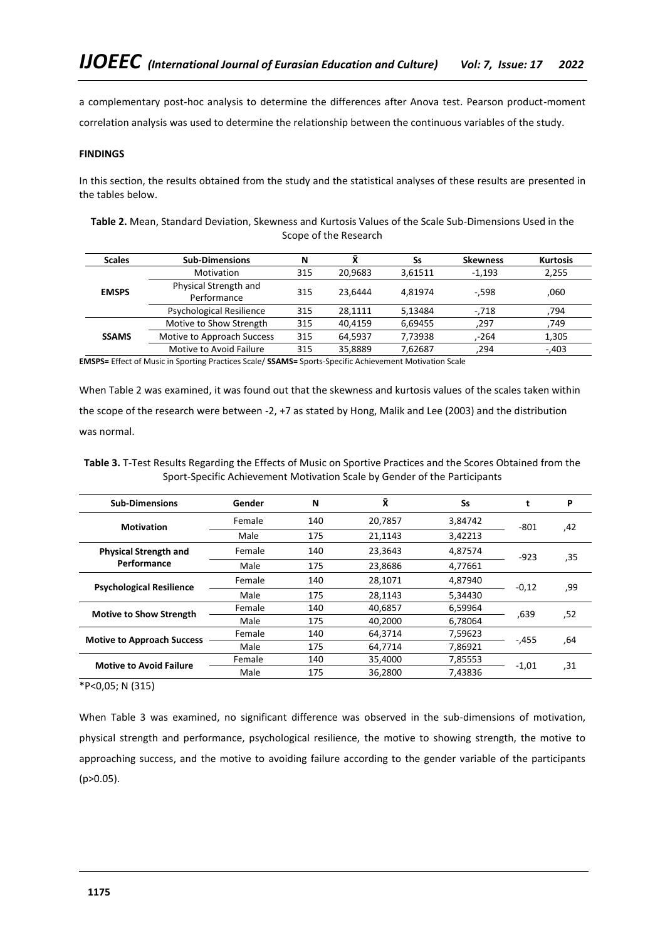a complementary post-hoc analysis to determine the differences after Anova test. Pearson product-moment correlation analysis was used to determine the relationship between the continuous variables of the study.

## **FINDINGS**

In this section, the results obtained from the study and the statistical analyses of these results are presented in the tables below.

| <b>Scales</b> | <b>Sub-Dimensions</b>                | N   | ū       | Ss      | <b>Skewness</b> | <b>Kurtosis</b> |
|---------------|--------------------------------------|-----|---------|---------|-----------------|-----------------|
|               | Motivation                           | 315 | 20,9683 | 3.61511 | $-1.193$        | 2,255           |
| <b>EMSPS</b>  | Physical Strength and<br>Performance | 315 | 23.6444 | 4.81974 | $-.598$         | ,060            |
|               | <b>Psychological Resilience</b>      | 315 | 28.1111 | 5,13484 | $-.718$         | ,794            |
|               | Motive to Show Strength              | 315 | 40.4159 | 6,69455 | .297            | ,749            |
| <b>SSAMS</b>  | Motive to Approach Success           | 315 | 64,5937 | 7,73938 | -264            | 1,305           |
|               | Motive to Avoid Failure              | 315 | 35.8889 | 7.62687 | .294            | $-.403$         |

**Table 2.** Mean, Standard Deviation, Skewness and Kurtosis Values of the Scale Sub-Dimensions Used in the Scope of the Research

**EMSPS=** Effect of Music in Sporting Practices Scale/ **SSAMS=** Sports-Specific Achievement Motivation Scale

When Table 2 was examined, it was found out that the skewness and kurtosis values of the scales taken within the scope of the research were between -2, +7 as stated by Hong, Malik and Lee (2003) and the distribution was normal.

| <b>Sub-Dimensions</b>                       | Gender | N   | Χī      | Ss      |         | P   |
|---------------------------------------------|--------|-----|---------|---------|---------|-----|
| <b>Motivation</b>                           | Female | 140 | 20.7857 | 3.84742 | $-801$  | 42, |
|                                             | Male   | 175 | 21.1143 | 3,42213 |         |     |
| <b>Physical Strength and</b><br>Performance | Female | 140 | 23.3643 | 4.87574 | $-923$  | .35 |
|                                             | Male   | 175 | 23,8686 | 4,77661 |         |     |
| <b>Psychological Resilience</b>             | Female | 140 | 28,1071 | 4,87940 | $-0,12$ | ,99 |
|                                             | Male   | 175 | 28.1143 | 5.34430 |         |     |
| <b>Motive to Show Strength</b>              | Female | 140 | 40,6857 | 6,59964 | .639    |     |
|                                             | Male   | 175 | 40.2000 | 6,78064 |         | ,52 |
|                                             | Female | 140 | 64,3714 | 7,59623 |         |     |
| <b>Motive to Approach Success</b>           | Male   | 175 | 64.7714 | 7,86921 | $-455$  | ,64 |
|                                             | Female | 140 | 35,4000 | 7,85553 |         |     |
| <b>Motive to Avoid Failure</b>              | Male   | 175 | 36,2800 | 7.43836 | -1,01   | .31 |

**Table 3.** T-Test Results Regarding the Effects of Music on Sportive Practices and the Scores Obtained from the Sport-Specific Achievement Motivation Scale by Gender of the Participants

\*P<0,05; N (315)

When Table 3 was examined, no significant difference was observed in the sub-dimensions of motivation, physical strength and performance, psychological resilience, the motive to showing strength, the motive to approaching success, and the motive to avoiding failure according to the gender variable of the participants (p>0.05).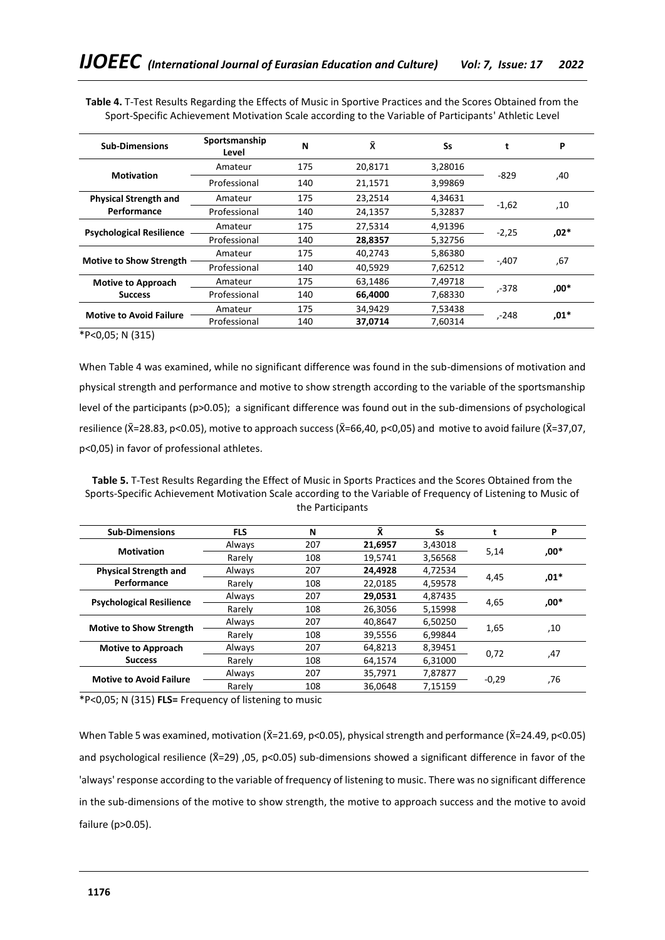| <b>Sub-Dimensions</b>           | Sportsmanship | N   | Χ       | Ss      | t       | P      |
|---------------------------------|---------------|-----|---------|---------|---------|--------|
|                                 | Level         |     |         |         |         |        |
| <b>Motivation</b>               | Amateur       | 175 | 20,8171 | 3,28016 | $-829$  |        |
|                                 | Professional  | 140 | 21,1571 | 3,99869 |         | .40    |
| <b>Physical Strength and</b>    | Amateur       | 175 | 23.2514 | 4,34631 |         |        |
| Performance                     | Professional  | 140 | 24,1357 | 5,32837 | $-1,62$ | 10,    |
|                                 | Amateur       | 175 | 27,5314 | 4,91396 | $-2,25$ | $,02*$ |
| <b>Psychological Resilience</b> | Professional  | 140 | 28,8357 | 5,32756 |         |        |
|                                 | Amateur       | 175 | 40,2743 | 5,86380 |         |        |
| <b>Motive to Show Strength</b>  | Professional  | 140 | 40,5929 | 7,62512 | $-.407$ | ,67    |
| <b>Motive to Approach</b>       | Amateur       | 175 | 63,1486 | 7,49718 |         |        |
| <b>Success</b>                  | Professional  | 140 | 66,4000 | 7,68330 | ,-378   | $,00*$ |
|                                 | Amateur       | 175 | 34.9429 | 7,53438 |         |        |
| <b>Motive to Avoid Failure</b>  | Professional  | 140 | 37,0714 | 7.60314 | ,-248   | $,01*$ |

**Table 4.** T-Test Results Regarding the Effects of Music in Sportive Practices and the Scores Obtained from the Sport-Specific Achievement Motivation Scale according to the Variable of Participants' Athletic Level

\*P<0,05; N (315)

When Table 4 was examined, while no significant difference was found in the sub-dimensions of motivation and physical strength and performance and motive to show strength according to the variable of the sportsmanship level of the participants (p>0.05); a significant difference was found out in the sub-dimensions of psychological resilience ( $\bar{X}$ =28.83, p<0.05), motive to approach success ( $\bar{X}$ =66,40, p<0,05) and motive to avoid failure ( $\bar{X}$ =37,07, p<0,05) in favor of professional athletes.

**Table 5.** T-Test Results Regarding the Effect of Music in Sports Practices and the Scores Obtained from the Sports-Specific Achievement Motivation Scale according to the Variable of Frequency of Listening to Music of the Participants

| <b>Sub-Dimensions</b>           | <b>FLS</b> | N              | Χ       | Ss      |         | P      |
|---------------------------------|------------|----------------|---------|---------|---------|--------|
| <b>Motivation</b>               | Always     | 207            | 21,6957 | 3,43018 |         | $.00*$ |
|                                 | Rarely     | 108            | 19.5741 | 3,56568 | 5,14    |        |
| <b>Physical Strength and</b>    | Always     | 207            | 24,4928 | 4,72534 |         | $,01*$ |
| Performance                     | Rarely     | 108            | 22,0185 | 4,59578 | 4,45    |        |
|                                 | Always     | 207            | 29,0531 | 4,87435 |         | $.00*$ |
| <b>Psychological Resilience</b> | Rarely     | 108            | 26,3056 | 5.15998 | 4,65    |        |
| <b>Motive to Show Strength</b>  | Always     | 207            | 40.8647 | 6,50250 | 1,65    | 10,    |
|                                 | Rarely     | 108            | 39,5556 | 6,99844 |         |        |
| <b>Motive to Approach</b>       | Always     | 207            | 64,8213 | 8,39451 | 0.72    |        |
| <b>Success</b>                  | Rarely     | 108            | 64,1574 | 6,31000 |         | 47,    |
|                                 | Always     | 207            | 35,7971 | 7,87877 |         |        |
| <b>Motive to Avoid Failure</b>  | Rarely     | 108<br>36.0648 |         | 7.15159 | $-0,29$ | 76,    |

\*P<0,05; N (315) **FLS=** Frequency of listening to music

When Table 5 was examined, motivation ( $\bar{X}$ =21.69, p<0.05), physical strength and performance ( $\bar{X}$ =24.49, p<0.05) and psychological resilience  $(\bar{X}=29)$ , 05, p<0.05) sub-dimensions showed a significant difference in favor of the 'always' response according to the variable of frequency of listening to music. There was no significant difference in the sub-dimensions of the motive to show strength, the motive to approach success and the motive to avoid failure (p>0.05).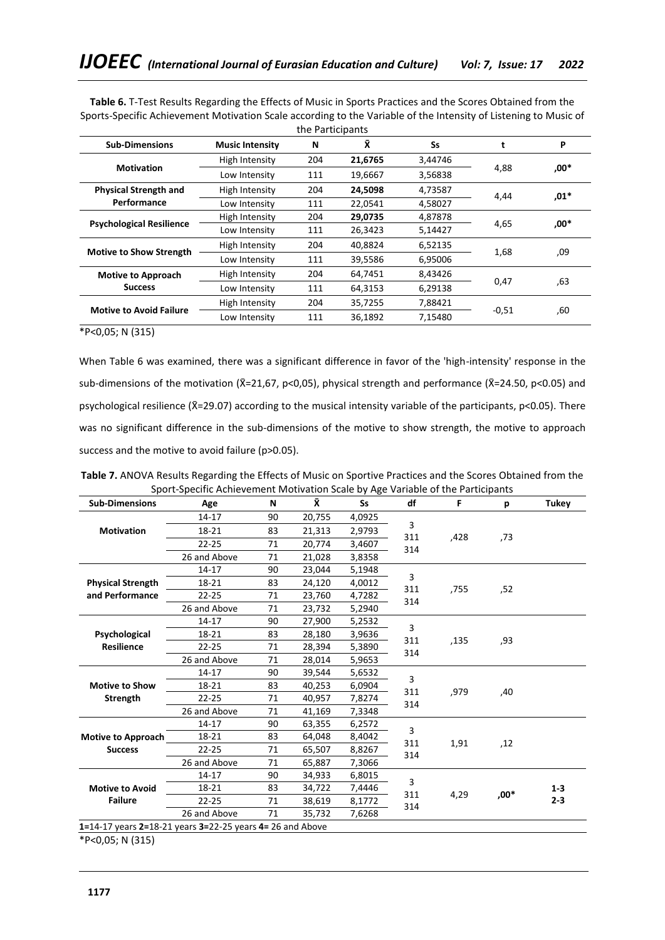| <b>Sub-Dimensions</b>           | <b>Music Intensity</b> | N   | Ÿ.      | Ss      | t       | P      |
|---------------------------------|------------------------|-----|---------|---------|---------|--------|
|                                 | High Intensity         | 204 | 21,6765 | 3,44746 |         |        |
| <b>Motivation</b>               | Low Intensity          | 111 | 19,6667 | 3,56838 | 4,88    | $,00*$ |
| <b>Physical Strength and</b>    | High Intensity         | 204 | 24,5098 | 4,73587 | 4,44    | .01*   |
| Performance                     | Low Intensity          | 111 | 22,0541 | 4,58027 |         |        |
|                                 | High Intensity         | 204 | 29,0735 | 4,87878 |         | .00*   |
| <b>Psychological Resilience</b> | Low Intensity          | 111 | 26,3423 | 5,14427 | 4,65    |        |
|                                 | High Intensity         | 204 | 40,8824 | 6,52135 |         | ,09    |
| <b>Motive to Show Strength</b>  | Low Intensity          | 111 | 39,5586 | 6,95006 | 1,68    |        |
| <b>Motive to Approach</b>       | High Intensity         | 204 | 64,7451 | 8,43426 |         |        |
| <b>Success</b>                  | Low Intensity          | 111 | 64,3153 | 6,29138 | 0,47    | ,63    |
| <b>Motive to Avoid Failure</b>  | High Intensity         | 204 | 35,7255 | 7,88421 |         |        |
|                                 | Low Intensity          | 111 | 36,1892 | 7.15480 | $-0,51$ | ,60    |

**Table 6.** T-Test Results Regarding the Effects of Music in Sports Practices and the Scores Obtained from the Sports-Specific Achievement Motivation Scale according to the Variable of the Intensity of Listening to Music of the Participants

\*P<0,05; N (315)

When Table 6 was examined, there was a significant difference in favor of the 'high-intensity' response in the sub-dimensions of the motivation (X=21,67, p<0,05), physical strength and performance (X=24.50, p<0.05) and psychological resilience (X̄=29.07) according to the musical intensity variable of the participants, p<0.05). There was no significant difference in the sub-dimensions of the motive to show strength, the motive to approach success and the motive to avoid failure (p>0.05).

| <b>Sub-Dimensions</b>                                     | Age          | N  | Ÿ.     | <b>Ss</b> | df         | F    | р    | <b>Tukey</b> |
|-----------------------------------------------------------|--------------|----|--------|-----------|------------|------|------|--------------|
|                                                           | 14-17        | 90 | 20,755 | 4,0925    |            |      |      |              |
| <b>Motivation</b>                                         | 18-21        | 83 | 21,313 | 2,9793    | 3          |      |      |              |
|                                                           | $22 - 25$    | 71 | 20,774 | 3,4607    | 311<br>314 | ,428 | ,73  |              |
|                                                           | 26 and Above | 71 | 21,028 | 3,8358    |            |      |      |              |
|                                                           | 14-17        | 90 | 23,044 | 5,1948    |            |      |      |              |
| <b>Physical Strength</b>                                  | 18-21        | 83 | 24,120 | 4,0012    | 3          |      |      |              |
| and Performance                                           | $22 - 25$    | 71 | 23,760 | 4,7282    | 311<br>314 | ,755 | ,52  |              |
|                                                           | 26 and Above | 71 | 23,732 | 5,2940    |            |      |      |              |
|                                                           | 14-17        | 90 | 27,900 | 5,2532    |            |      |      |              |
| Psychological                                             | 18-21        | 83 | 28,180 | 3,9636    | 3<br>311   |      |      |              |
| <b>Resilience</b>                                         | $22 - 25$    | 71 | 28,394 | 5,3890    | 314        | ,135 | ,93  |              |
|                                                           | 26 and Above | 71 | 28,014 | 5,9653    |            |      |      |              |
|                                                           | 14-17        | 90 | 39,544 | 5,6532    |            |      | ,40  |              |
| <b>Motive to Show</b>                                     | 18-21        | 83 | 40,253 | 6,0904    | 3          |      |      |              |
| <b>Strength</b>                                           | $22 - 25$    | 71 | 40,957 | 7,8274    | 311        | ,979 |      |              |
|                                                           | 26 and Above | 71 | 41,169 | 7,3348    | 314        |      |      |              |
|                                                           | 14-17        | 90 | 63,355 | 6,2572    |            |      |      |              |
| <b>Motive to Approach</b>                                 | 18-21        | 83 | 64,048 | 8,4042    | 3          |      |      |              |
| <b>Success</b>                                            | $22 - 25$    | 71 | 65,507 | 8,8267    | 311        | 1,91 | ,12  |              |
|                                                           | 26 and Above | 71 | 65,887 | 7,3066    | 314        |      |      |              |
|                                                           | 14-17        | 90 | 34,933 | 6,8015    |            |      |      |              |
| <b>Motive to Avoid</b>                                    | 18-21        | 83 | 34,722 | 7,4446    | 3          |      |      | $1 - 3$      |
| <b>Failure</b>                                            | $22 - 25$    | 71 | 38,619 | 8,1772    | 311        | 4,29 | .00* | $2 - 3$      |
|                                                           | 26 and Above | 71 | 35,732 | 7,6268    | 314        |      |      |              |
| 1=14-17 years 2=18-21 years 3=22-25 years 4= 26 and Above |              |    |        |           |            |      |      |              |

**Table 7.** ANOVA Results Regarding the Effects of Music on Sportive Practices and the Scores Obtained from the Sport-Specific Achievement Motivation Scale by Age Variable of the Participants

\*P<0,05; N (315)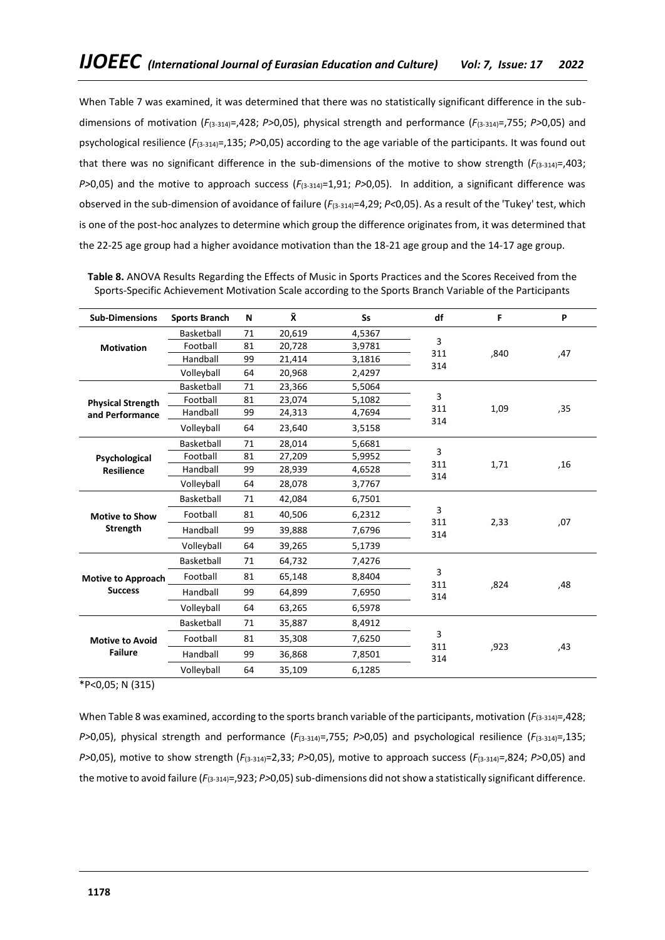When Table 7 was examined, it was determined that there was no statistically significant difference in the subdimensions of motivation (*F*(3-314)=,428; *P>*0,05), physical strength and performance (*F*(3-314)=,755; *P>*0,05) and psychological resilience (*F*(3-314)=,135; *P>*0,05) according to the age variable of the participants. It was found out that there was no significant difference in the sub-dimensions of the motive to show strength  $(F_{(3-314)}=,403;$ *P>*0,05) and the motive to approach success (*F*(3-314)=1,91; *P>*0,05). In addition, a significant difference was observed in the sub-dimension of avoidance of failure (*F*(3-314)=4,29; *P<*0,05). As a result of the 'Tukey' test, which is one of the post-hoc analyzes to determine which group the difference originates from, it was determined that the 22-25 age group had a higher avoidance motivation than the 18-21 age group and the 14-17 age group.

| <b>Sub-Dimensions</b>     | <b>Sports Branch</b> | N                      | Χ      | <b>Ss</b> | df         | F    | P   |
|---------------------------|----------------------|------------------------|--------|-----------|------------|------|-----|
|                           | Basketball           | 71                     | 20,619 | 4,5367    |            |      |     |
| <b>Motivation</b>         | Football             | 81                     | 20,728 | 3,9781    | 3          |      |     |
|                           | Handball             | 99                     | 21,414 | 3,1816    | 311<br>314 | ,840 | ,47 |
|                           | Volleyball           | 64                     | 20,968 | 2,4297    |            |      |     |
|                           | Basketball           | 71                     | 23,366 | 5,5064    |            |      |     |
| <b>Physical Strength</b>  | Football             | 81<br>23,074<br>5,1082 | 3      |           |            |      |     |
| and Performance           | Handball             | 99                     | 24,313 | 4,7694    | 311<br>314 | 1,09 | ,35 |
|                           | Volleyball           | 64                     | 23,640 | 3,5158    |            |      |     |
|                           | Basketball           | 71                     | 28,014 | 5,6681    |            |      |     |
| Psychological             | Football             | 81                     | 27,209 | 5,9952    | 3<br>311   | 1,71 | ,16 |
| <b>Resilience</b>         | Handball             | 99                     | 28,939 | 4,6528    | 314        |      |     |
|                           | Volleyball           | 64                     | 28,078 | 3,7767    |            |      |     |
|                           | Basketball           | 71                     | 42,084 | 6,7501    |            | 2,33 |     |
| <b>Motive to Show</b>     | Football             | 81                     | 40,506 | 6,2312    | 3<br>311   |      | ,07 |
| <b>Strength</b>           | Handball             | 99                     | 39,888 | 7,6796    | 314        |      |     |
|                           | Volleyball           | 64                     | 39,265 | 5,1739    |            |      |     |
|                           | Basketball           | 71                     | 64,732 | 7,4276    |            |      |     |
| <b>Motive to Approach</b> | Football             | 81                     | 65,148 | 8,8404    | 3<br>311   | ,824 | ,48 |
| <b>Success</b>            | Handball             | 99                     | 64,899 | 7,6950    | 314        |      |     |
|                           | Volleyball           | 64                     | 63,265 | 6,5978    |            |      |     |
|                           | Basketball           | 71                     | 35,887 | 8,4912    |            |      |     |
| <b>Motive to Avoid</b>    | Football             | 81                     | 35,308 | 7,6250    | 3<br>311   | ,923 | ,43 |
| <b>Failure</b>            | Handball             | 99                     | 36,868 | 7,8501    | 314        |      |     |
|                           | Volleyball           | 64                     | 35,109 | 6,1285    |            |      |     |

**Table 8.** ANOVA Results Regarding the Effects of Music in Sports Practices and the Scores Received from the Sports-Specific Achievement Motivation Scale according to the Sports Branch Variable of the Participants

\*P<0,05; N (315)

When Table 8 was examined, according to the sports branch variable of the participants, motivation  $(F_{(3-314)=1}428;$ *P>*0,05), physical strength and performance (*F*(3-314)=,755; *P>*0,05) and psychological resilience (*F*(3-314)=,135; *P>*0,05), motive to show strength (*F*(3-314)=2,33; *P>*0,05), motive to approach success (*F*(3-314)=,824; *P>*0,05) and the motive to avoid failure ( $F_{(3-314)}$ =,923; *P*>0,05) sub-dimensions did not show a statistically significant difference.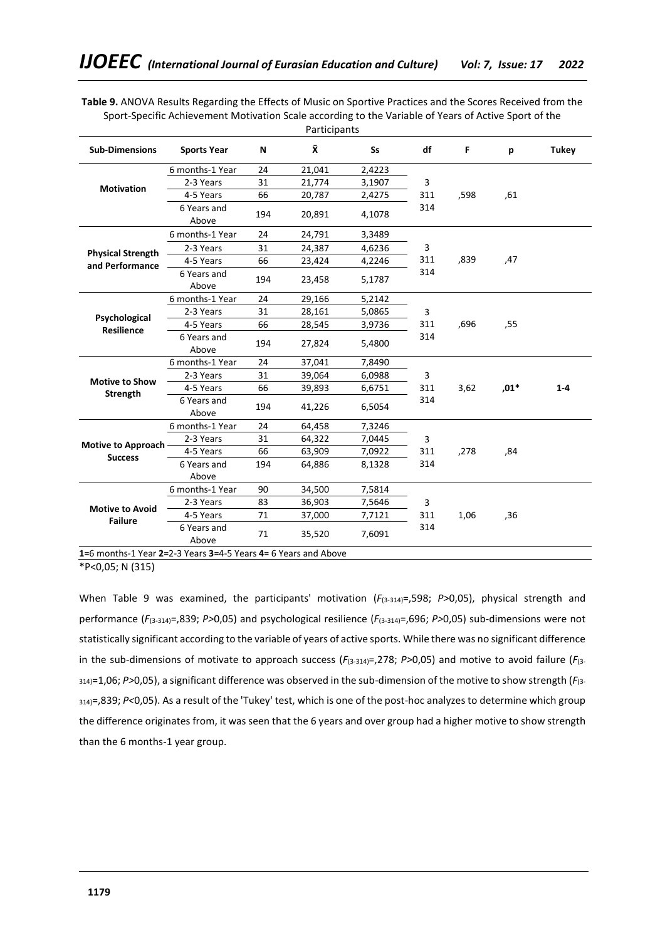**Table 9.** ANOVA Results Regarding the Effects of Music on Sportive Practices and the Scores Received from the Sport-Specific Achievement Motivation Scale according to the Variable of Years of Active Sport of the **Participants** 

|                                             |                      |     | r articiparits |           |     |      |        |              |
|---------------------------------------------|----------------------|-----|----------------|-----------|-----|------|--------|--------------|
| <b>Sub-Dimensions</b>                       | <b>Sports Year</b>   | N   | Χ              | <b>Ss</b> | df  | F    | р      | <b>Tukey</b> |
|                                             | 6 months-1 Year      | 24  | 21,041         | 2,4223    |     |      |        |              |
| <b>Motivation</b>                           | 2-3 Years            | 31  | 21,774         | 3,1907    | 3   |      |        |              |
|                                             | 4-5 Years            | 66  | 20,787         | 2,4275    | 311 | ,598 | ,61    |              |
|                                             | 6 Years and<br>Above | 194 | 20.891         | 4,1078    | 314 |      |        |              |
|                                             | 6 months-1 Year      | 24  | 24,791         | 3,3489    |     |      |        |              |
| <b>Physical Strength</b>                    | 2-3 Years            | 31  | 24,387         | 4,6236    | 3   |      |        |              |
| and Performance                             | 4-5 Years            | 66  | 23,424         | 4,2246    | 311 | ,839 | ,47    |              |
|                                             | 6 Years and<br>Above | 194 | 23,458         | 5,1787    | 314 |      |        |              |
|                                             | 6 months-1 Year      | 24  | 29,166         | 5,2142    |     |      |        |              |
| Psychological<br><b>Resilience</b>          | 2-3 Years            | 31  | 28,161         | 5,0865    | 3   |      |        |              |
|                                             | 4-5 Years            | 66  | 28,545         | 3,9736    | 311 | ,696 | ,55    |              |
|                                             | 6 Years and<br>Above | 194 | 27,824         | 5,4800    | 314 |      |        |              |
|                                             | 6 months-1 Year      | 24  | 37,041         | 7,8490    |     |      |        |              |
|                                             | 2-3 Years            | 31  | 39,064         | 6,0988    | 3   |      |        |              |
| <b>Motive to Show</b><br><b>Strength</b>    | 4-5 Years            | 66  | 39,893         | 6,6751    | 311 | 3,62 | $,01*$ | $1 - 4$      |
|                                             | 6 Years and<br>Above | 194 | 41,226         | 6,5054    | 314 |      |        |              |
|                                             | 6 months-1 Year      | 24  | 64,458         | 7,3246    |     |      |        |              |
|                                             | 2-3 Years            | 31  | 64,322         | 7,0445    | 3   |      |        |              |
| <b>Motive to Approach</b><br><b>Success</b> | 4-5 Years            | 66  | 63,909         | 7,0922    | 311 | ,278 | .84    |              |
|                                             | 6 Years and          | 194 | 64,886         | 8,1328    | 314 |      |        |              |
|                                             | Above                |     |                |           |     |      |        |              |
|                                             | 6 months-1 Year      | 90  | 34,500         | 7,5814    |     |      |        |              |
| <b>Motive to Avoid</b>                      | 2-3 Years            | 83  | 36,903         | 7,5646    | 3   |      |        |              |
| <b>Failure</b>                              | 4-5 Years            | 71  | 37,000         | 7,7121    | 311 | 1,06 | ,36    |              |
|                                             | 6 Years and<br>Above | 71  | 35,520         | 7,6091    | 314 |      |        |              |

**1=**6 months-1 Year **2=**2-3 Years **3=**4-5 Years **4=** 6 Years and Above

 $\overline{P}$ <0,05; N (315)

When Table 9 was examined, the participants' motivation ( $F_{(3-314)}$ =,598; *P*>0,05), physical strength and performance (*F*(3-314)=,839; *P>*0,05) and psychological resilience (*F*(3-314)=,696; *P>*0,05) sub-dimensions were not statistically significant according to the variable of years of active sports. While there was no significant difference in the sub-dimensions of motivate to approach success (*F*(3-314)=,278; *P>*0,05) and motive to avoid failure (*F*(3- 314)=1,06; *P>*0,05), a significant difference was observed in the sub-dimension of the motive to show strength (*F*(3- 314)=,839; *P<*0,05). As a result of the 'Tukey' test, which is one of the post-hoc analyzes to determine which group the difference originates from, it was seen that the 6 years and over group had a higher motive to show strength than the 6 months-1 year group.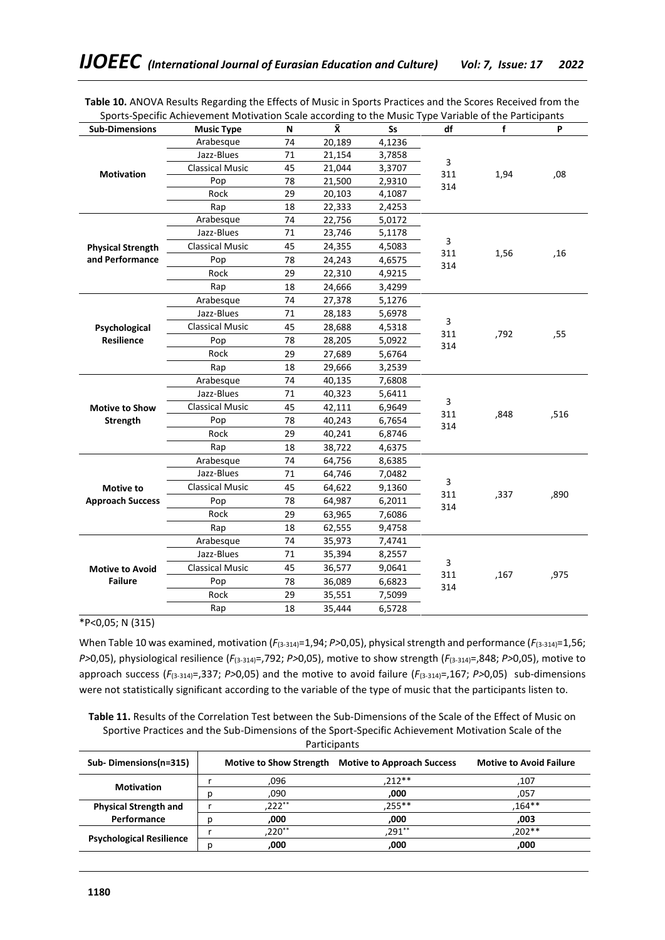| <b>Sub-Dimensions</b>              | sports specific nomevement modivation scale according to the masic type variable of the rarticipants<br><b>Music Type</b> | N  | Ÿ.     | Ss     | df         | f    | P    |
|------------------------------------|---------------------------------------------------------------------------------------------------------------------------|----|--------|--------|------------|------|------|
|                                    | Arabesque                                                                                                                 | 74 | 20,189 | 4,1236 |            |      |      |
|                                    | Jazz-Blues                                                                                                                | 71 | 21,154 | 3,7858 |            |      |      |
|                                    | <b>Classical Music</b>                                                                                                    | 45 | 21,044 | 3,3707 | 3<br>311   |      | ,08  |
| <b>Motivation</b>                  | Pop                                                                                                                       | 78 | 21,500 | 2,9310 | 314        | 1,94 |      |
|                                    | Rock                                                                                                                      | 29 | 20,103 | 4,1087 |            |      |      |
|                                    | Rap                                                                                                                       | 18 | 22,333 | 2,4253 |            |      |      |
|                                    | Arabesque                                                                                                                 | 74 | 22,756 | 5,0172 |            |      |      |
|                                    | Jazz-Blues                                                                                                                | 71 | 23,746 | 5,1178 | 3          |      |      |
| <b>Physical Strength</b>           | <b>Classical Music</b>                                                                                                    | 45 | 24,355 | 4,5083 | 311        | 1,56 | ,16  |
| and Performance                    | Pop                                                                                                                       | 78 | 24,243 | 4,6575 | 314        |      |      |
|                                    | Rock                                                                                                                      | 29 | 22,310 | 4,9215 |            |      |      |
|                                    | Rap                                                                                                                       | 18 | 24,666 | 3,4299 |            |      |      |
|                                    | Arabesque                                                                                                                 | 74 | 27,378 | 5,1276 |            |      |      |
|                                    | Jazz-Blues                                                                                                                | 71 | 28,183 | 5,6978 |            |      |      |
| Psychological<br><b>Resilience</b> | <b>Classical Music</b>                                                                                                    | 45 | 28,688 | 4,5318 | 3          |      |      |
|                                    | Pop                                                                                                                       | 78 | 28,205 | 5,0922 | 311<br>314 | ,792 | ,55  |
|                                    | Rock                                                                                                                      | 29 | 27,689 | 5,6764 |            |      |      |
|                                    | Rap                                                                                                                       | 18 | 29,666 | 3,2539 |            |      |      |
|                                    | Arabesque                                                                                                                 | 74 | 40,135 | 7,6808 |            |      |      |
|                                    | Jazz-Blues                                                                                                                | 71 | 40,323 | 5,6411 |            |      |      |
| <b>Motive to Show</b>              | <b>Classical Music</b>                                                                                                    | 45 | 42,111 | 6,9649 | 3          |      |      |
| <b>Strength</b>                    | Pop                                                                                                                       | 78 | 40,243 | 6,7654 | 311<br>314 | ,848 | ,516 |
|                                    | Rock                                                                                                                      | 29 | 40,241 | 6,8746 |            |      |      |
|                                    | Rap                                                                                                                       | 18 | 38,722 | 4,6375 |            |      |      |
|                                    | Arabesque                                                                                                                 | 74 | 64,756 | 8,6385 |            |      |      |
|                                    | Jazz-Blues                                                                                                                | 71 | 64,746 | 7,0482 |            |      |      |
| <b>Motive to</b>                   | <b>Classical Music</b>                                                                                                    | 45 | 64,622 | 9,1360 | 3          |      |      |
| <b>Approach Success</b>            | Pop                                                                                                                       | 78 | 64,987 | 6,2011 | 311<br>314 | ,337 | ,890 |
|                                    | Rock                                                                                                                      | 29 | 63,965 | 7,6086 |            |      |      |
|                                    | Rap                                                                                                                       | 18 | 62,555 | 9,4758 |            |      |      |
|                                    | Arabesque                                                                                                                 | 74 | 35,973 | 7,4741 |            |      |      |
|                                    | Jazz-Blues                                                                                                                | 71 | 35,394 | 8,2557 |            |      |      |
| <b>Motive to Avoid</b>             | <b>Classical Music</b>                                                                                                    | 45 | 36,577 | 9,0641 | 3          |      |      |
| <b>Failure</b>                     | Pop                                                                                                                       | 78 | 36,089 | 6,6823 | 311        | ,167 | ,975 |
|                                    | Rock                                                                                                                      | 29 | 35,551 | 7,5099 | 314        |      |      |
|                                    | Rap                                                                                                                       | 18 | 35,444 | 6,5728 |            |      |      |

**Table 10.** ANOVA Results Regarding the Effects of Music in Sports Practices and the Scores Received from the Sports-Specific Achievement Motivation Scale according to the Music Type Variable of the Participants

# \*P<0,05; N (315)

When Table 10 was examined, motivation ( $F_{(3-314)}=1,94$ ;  $P>0,05$ ), physical strength and performance ( $F_{(3-314)}=1,56$ ; *P>*0,05), physiological resilience (*F*(3-314)=,792; *P>*0,05), motive to show strength (*F*(3-314)=,848; *P>*0,05), motive to approach success (*F*(3-314)=,337; *P>*0,05) and the motive to avoid failure (*F*(3-314)=,167; *P>*0,05) sub-dimensions were not statistically significant according to the variable of the type of music that the participants listen to.

**Table 11.** Results of the Correlation Test between the Sub-Dimensions of the Scale of the Effect of Music on Sportive Practices and the Sub-Dimensions of the Sport-Specific Achievement Motivation Scale of the Participants

| Sub-Dimensions(n=315)           | <b>Motive to Show Strength</b> | <b>Motive to Approach Success</b> | <b>Motive to Avoid Failure</b> |
|---------------------------------|--------------------------------|-----------------------------------|--------------------------------|
|                                 | .096                           | $212**$                           | 107                            |
| <b>Motivation</b>               | ,090                           | ,000                              | 057,                           |
| <b>Physical Strength and</b>    | $,222**$                       | 255**                             | $.164**$                       |
| Performance                     | ,000                           | ,000                              | ,003                           |
| <b>Psychological Resilience</b> | .220**                         | 291**                             | $.202**$                       |
|                                 | .000                           | .000                              | .000                           |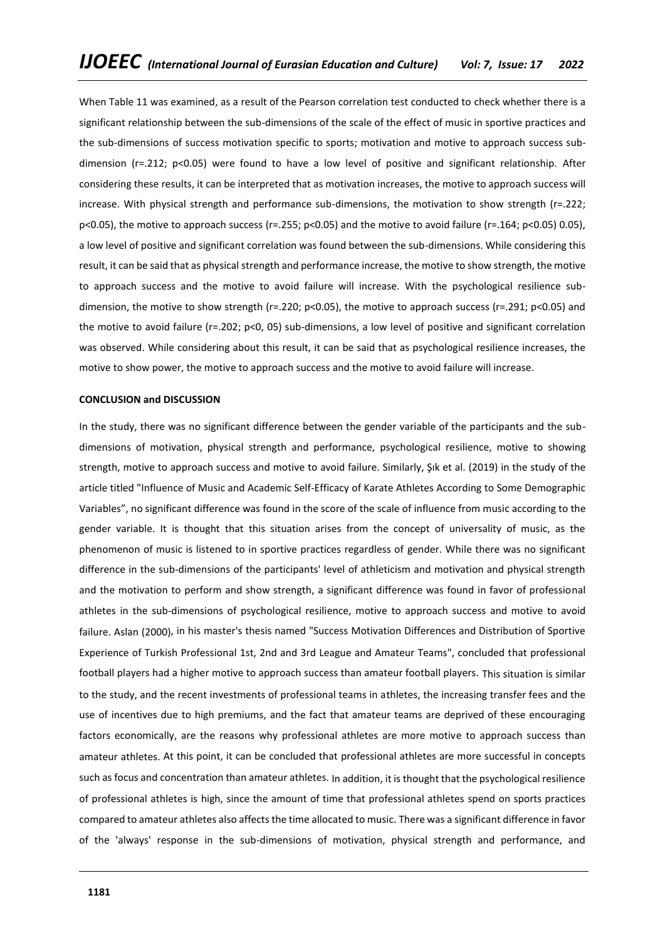When Table 11 was examined, as a result of the Pearson correlation test conducted to check whether there is a significant relationship between the sub-dimensions of the scale of the effect of music in sportive practices and the sub-dimensions of success motivation specific to sports; motivation and motive to approach success subdimension (r=.212; p<0.05) were found to have a low level of positive and significant relationship. After considering these results, it can be interpreted that as motivation increases, the motive to approach success will increase. With physical strength and performance sub-dimensions, the motivation to show strength (r=.222; p<0.05), the motive to approach success (r=.255; p<0.05) and the motive to avoid failure (r=.164; p<0.05) 0.05), a low level of positive and significant correlation was found between the sub-dimensions. While considering this result, it can be said that as physical strength and performance increase, the motive to show strength, the motive to approach success and the motive to avoid failure will increase. With the psychological resilience subdimension, the motive to show strength (r=.220; p<0.05), the motive to approach success (r=.291; p<0.05) and the motive to avoid failure (r=.202; p<0, 05) sub-dimensions, a low level of positive and significant correlation was observed. While considering about this result, it can be said that as psychological resilience increases, the motive to show power, the motive to approach success and the motive to avoid failure will increase.

### **CONCLUSION and DISCUSSION**

In the study, there was no significant difference between the gender variable of the participants and the subdimensions of motivation, physical strength and performance, psychological resilience, motive to showing strength, motive to approach success and motive to avoid failure. Similarly, Şık et al. (2019) in the study of the article titled "Influence of Music and Academic Self-Efficacy of Karate Athletes According to Some Demographic Variables", no significant difference was found in the score of the scale of influence from music according to the gender variable. It is thought that this situation arises from the concept of universality of music, as the phenomenon of music is listened to in sportive practices regardless of gender. While there was no significant difference in the sub-dimensions of the participants' level of athleticism and motivation and physical strength and the motivation to perform and show strength, a significant difference was found in favor of professional athletes in the sub-dimensions of psychological resilience, motive to approach success and motive to avoid failure. Aslan (2000), in his master's thesis named "Success Motivation Differences and Distribution of Sportive Experience of Turkish Professional 1st, 2nd and 3rd League and Amateur Teams", concluded that professional football players had a higher motive to approach success than amateur football players. This situation is similar to the study, and the recent investments of professional teams in athletes, the increasing transfer fees and the use of incentives due to high premiums, and the fact that amateur teams are deprived of these encouraging factors economically, are the reasons why professional athletes are more motive to approach success than amateur athletes. At this point, it can be concluded that professional athletes are more successful in concepts such as focus and concentration than amateur athletes. In addition, it is thought that the psychological resilience of professional athletes is high, since the amount of time that professional athletes spend on sports practices compared to amateur athletes also affects the time allocated to music. There was a significant difference in favor of the 'always' response in the sub-dimensions of motivation, physical strength and performance, and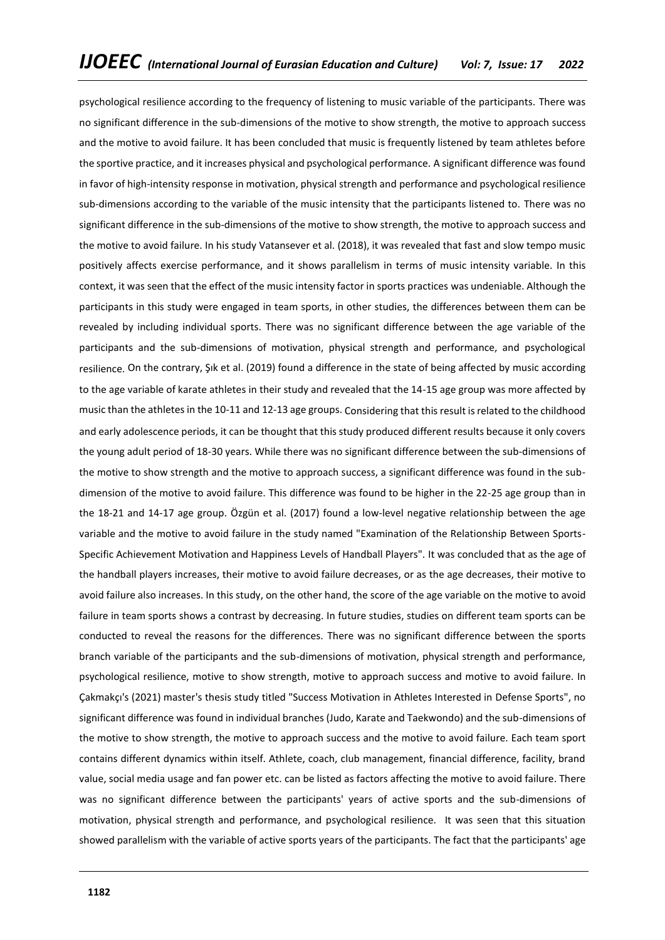psychological resilience according to the frequency of listening to music variable of the participants. There was no significant difference in the sub-dimensions of the motive to show strength, the motive to approach success and the motive to avoid failure. It has been concluded that music is frequently listened by team athletes before the sportive practice, and it increases physical and psychological performance. A significant difference was found in favor of high-intensity response in motivation, physical strength and performance and psychological resilience sub-dimensions according to the variable of the music intensity that the participants listened to. There was no significant difference in the sub-dimensions of the motive to show strength, the motive to approach success and the motive to avoid failure. In his study Vatansever et al. (2018), it was revealed that fast and slow tempo music positively affects exercise performance, and it shows parallelism in terms of music intensity variable. In this context, it was seen that the effect of the music intensity factor in sports practices was undeniable. Although the participants in this study were engaged in team sports, in other studies, the differences between them can be revealed by including individual sports. There was no significant difference between the age variable of the participants and the sub-dimensions of motivation, physical strength and performance, and psychological resilience. On the contrary, Şık et al. (2019) found a difference in the state of being affected by music according to the age variable of karate athletes in their study and revealed that the 14-15 age group was more affected by music than the athletes in the 10-11 and 12-13 age groups. Considering that this result is related to the childhood and early adolescence periods, it can be thought that this study produced different results because it only covers the young adult period of 18-30 years. While there was no significant difference between the sub-dimensions of the motive to show strength and the motive to approach success, a significant difference was found in the subdimension of the motive to avoid failure. This difference was found to be higher in the 22-25 age group than in the 18-21 and 14-17 age group. Özgün et al. (2017) found a low-level negative relationship between the age variable and the motive to avoid failure in the study named "Examination of the Relationship Between Sports-Specific Achievement Motivation and Happiness Levels of Handball Players". It was concluded that as the age of the handball players increases, their motive to avoid failure decreases, or as the age decreases, their motive to avoid failure also increases. In this study, on the other hand, the score of the age variable on the motive to avoid failure in team sports shows a contrast by decreasing. In future studies, studies on different team sports can be conducted to reveal the reasons for the differences. There was no significant difference between the sports branch variable of the participants and the sub-dimensions of motivation, physical strength and performance, psychological resilience, motive to show strength, motive to approach success and motive to avoid failure. In Çakmakçı's (2021) master's thesis study titled "Success Motivation in Athletes Interested in Defense Sports", no significant difference was found in individual branches (Judo, Karate and Taekwondo) and the sub-dimensions of the motive to show strength, the motive to approach success and the motive to avoid failure. Each team sport contains different dynamics within itself. Athlete, coach, club management, financial difference, facility, brand value, social media usage and fan power etc. can be listed as factors affecting the motive to avoid failure. There was no significant difference between the participants' years of active sports and the sub-dimensions of motivation, physical strength and performance, and psychological resilience. It was seen that this situation showed parallelism with the variable of active sports years of the participants. The fact that the participants' age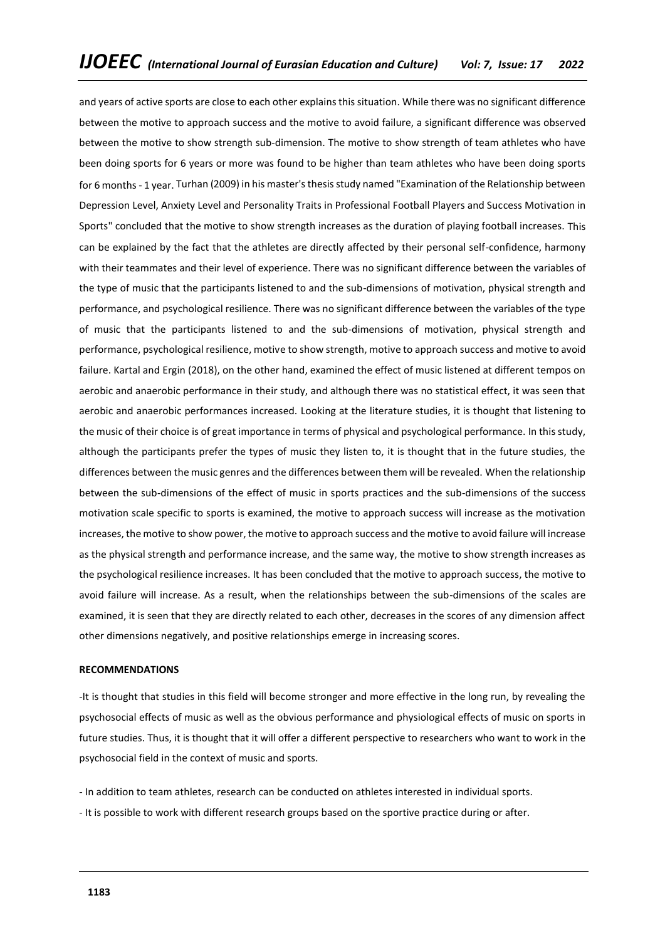and years of active sports are close to each other explains this situation. While there was no significant difference between the motive to approach success and the motive to avoid failure, a significant difference was observed between the motive to show strength sub-dimension. The motive to show strength of team athletes who have been doing sports for 6 years or more was found to be higher than team athletes who have been doing sports for 6 months - 1 year. Turhan (2009) in his master's thesis study named "Examination of the Relationship between Depression Level, Anxiety Level and Personality Traits in Professional Football Players and Success Motivation in Sports" concluded that the motive to show strength increases as the duration of playing football increases. This can be explained by the fact that the athletes are directly affected by their personal self-confidence, harmony with their teammates and their level of experience. There was no significant difference between the variables of the type of music that the participants listened to and the sub-dimensions of motivation, physical strength and performance, and psychological resilience. There was no significant difference between the variables of the type of music that the participants listened to and the sub-dimensions of motivation, physical strength and performance, psychological resilience, motive to show strength, motive to approach success and motive to avoid failure. Kartal and Ergin (2018), on the other hand, examined the effect of music listened at different tempos on aerobic and anaerobic performance in their study, and although there was no statistical effect, it was seen that aerobic and anaerobic performances increased. Looking at the literature studies, it is thought that listening to the music of their choice is of great importance in terms of physical and psychological performance. In this study, although the participants prefer the types of music they listen to, it is thought that in the future studies, the differences between the music genres and the differences between them will be revealed. When the relationship between the sub-dimensions of the effect of music in sports practices and the sub-dimensions of the success motivation scale specific to sports is examined, the motive to approach success will increase as the motivation increases, the motive to show power, the motive to approach success and the motive to avoid failure will increase as the physical strength and performance increase, and the same way, the motive to show strength increases as the psychological resilience increases. It has been concluded that the motive to approach success, the motive to avoid failure will increase. As a result, when the relationships between the sub-dimensions of the scales are examined, it is seen that they are directly related to each other, decreases in the scores of any dimension affect other dimensions negatively, and positive relationships emerge in increasing scores.

### **RECOMMENDATIONS**

-It is thought that studies in this field will become stronger and more effective in the long run, by revealing the psychosocial effects of music as well as the obvious performance and physiological effects of music on sports in future studies. Thus, it is thought that it will offer a different perspective to researchers who want to work in the psychosocial field in the context of music and sports.

- In addition to team athletes, research can be conducted on athletes interested in individual sports.
- It is possible to work with different research groups based on the sportive practice during or after.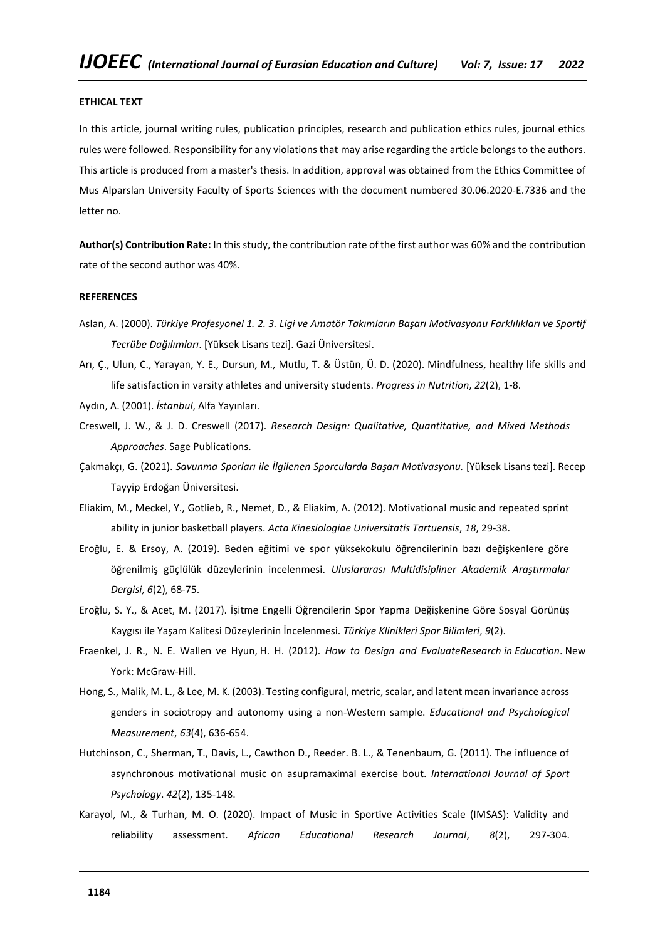#### **ETHICAL TEXT**

In this article, journal writing rules, publication principles, research and publication ethics rules, journal ethics rules were followed. Responsibility for any violations that may arise regarding the article belongs to the authors. This article is produced from a master's thesis. In addition, approval was obtained from the Ethics Committee of Mus Alparslan University Faculty of Sports Sciences with the document numbered 30.06.2020-E.7336 and the letter no.

**Author(s) Contribution Rate:** In this study, the contribution rate of the first author was 60% and the contribution rate of the second author was 40%.

#### **REFERENCES**

- Aslan, A. (2000). *Türkiye Profesyonel 1. 2. 3. Ligi ve Amatör Takımların Başarı Motivasyonu Farklılıkları ve Sportif Tecrübe Dağılımları*. [Yüksek Lisans tezi]. Gazi Üniversitesi.
- Arı, Ç., Ulun, C., Yarayan, Y. E., Dursun, M., Mutlu, T. & Üstün, Ü. D. (2020). Mindfulness, healthy life skills and life satisfaction in varsity athletes and university students. *Progress in Nutrition*, *22*(2), 1-8.
- Aydın, A. (2001). *İstanbul*, Alfa Yayınları.
- Creswell, J. W., & J. D. Creswell (2017). *Research Design: Qualitative, Quantitative, and Mixed Methods Approaches*. Sage Publications.
- Çakmakçı, G. (2021). *Savunma Sporları ile İlgilenen Sporcularda Başarı Motivasyonu.* [Yüksek Lisans tezi]. Recep Tayyip Erdoğan Üniversitesi.
- Eliakim, M., Meckel, Y., Gotlieb, R., Nemet, D., & Eliakim, A. (2012). Motivational music and repeated sprint ability in junior basketball players. *Acta Kinesiologiae Universitatis Tartuensis*, *18*, 29-38.
- Eroğlu, E. & Ersoy, A. (2019). Beden eğitimi ve spor yüksekokulu öğrencilerinin bazı değişkenlere göre öğrenilmiş güçlülük düzeylerinin incelenmesi. *Uluslararası Multidisipliner Akademik Araştırmalar Dergisi*, *6*(2), 68-75.
- Eroğlu, S. Y., & Acet, M. (2017). İşitme Engelli Öğrencilerin Spor Yapma Değişkenine Göre Sosyal Görünüş Kaygısı ile Yaşam Kalitesi Düzeylerinin İncelenmesi. *Türkiye Klinikleri Spor Bilimleri*, *9*(2).
- Fraenkel, J. R., N. E. Wallen ve Hyun, H. H. (2012). *How to Design and EvaluateResearch in Education*. New York: McGraw-Hill.
- Hong, S., Malik, M. L., & Lee, M. K. (2003). Testing configural, metric, scalar, and latent mean invariance across genders in sociotropy and autonomy using a non-Western sample. *Educational and Psychological Measurement*, *63*(4), 636-654.
- Hutchinson, C., Sherman, T., Davis, L., Cawthon D., Reeder. B. L., & Tenenbaum, G. (2011). The influence of asynchronous motivational music on asupramaximal exercise bout. *International Journal of Sport Psychology*. *42*(2), 135-148.
- Karayol, M., & Turhan, M. O. (2020). Impact of Music in Sportive Activities Scale (IMSAS): Validity and reliability assessment. *African Educational Research Journal*, *8*(2), 297-304.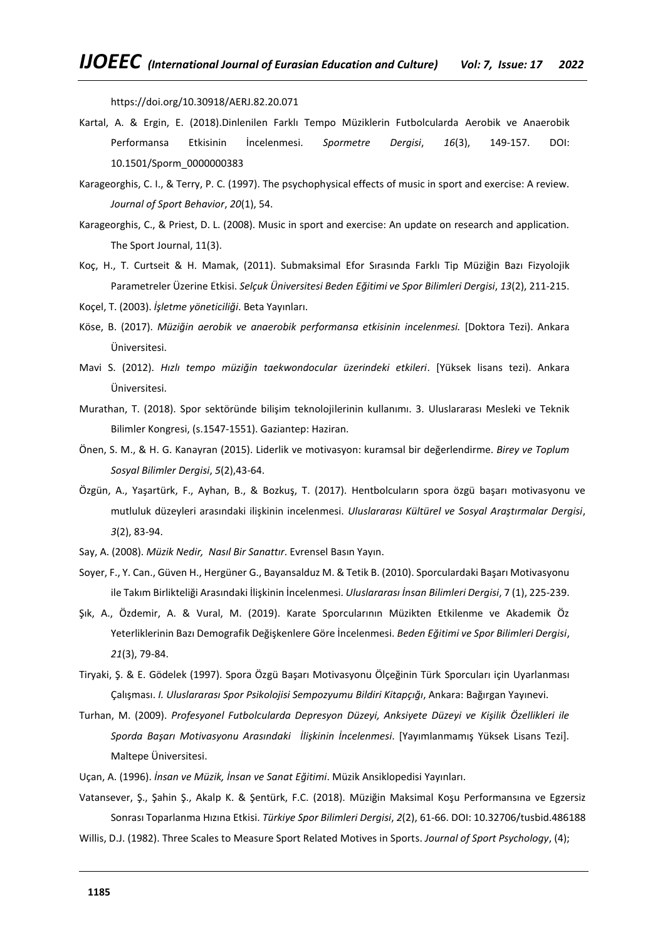https://doi.org/10.30918/AERJ.82.20.071

- Kartal, A. & Ergin, E. (2018).Dinlenilen Farklı Tempo Müziklerin Futbolcularda Aerobik ve Anaerobik Performansa Etkisinin İncelenmesi. *Spormetre Dergisi*, *16*(3), 149-157. DOI: 10.1501/Sporm\_0000000383
- Karageorghis, C. I., & Terry, P. C. (1997). The psychophysical effects of music in sport and exercise: A review. *Journal of Sport Behavior*, *20*(1), 54.
- Karageorghis, C., & Priest, D. L. (2008). Music in sport and exercise: An update on research and application. The Sport Journal, 11(3).
- Koç, H., T. Curtseit & H. Mamak, (2011). Submaksimal Efor Sırasında Farklı Tip Müziğin Bazı Fizyolojik Parametreler Üzerine Etkisi. *Selçuk Üniversitesi Beden Eğitimi ve Spor Bilimleri Dergisi*, *13*(2), 211-215.
- Koçel, T. (2003). *İşletme yöneticiliği*. Beta Yayınları.
- Köse, B. (2017). *Müziğin aerobik ve anaerobik performansa etkisinin incelenmesi.* [Doktora Tezi). Ankara Üniversitesi.
- Mavi S. (2012). *Hızlı tempo müziğin taekwondocular üzerindeki etkileri*. [Yüksek lisans tezi). Ankara Üniversitesi.
- Murathan, T. (2018). Spor sektöründe bilişim teknolojilerinin kullanımı. 3. Uluslararası Mesleki ve Teknik Bilimler Kongresi, (s.1547-1551). Gaziantep: Haziran.
- Önen, S. M., & H. G. Kanayran (2015). Liderlik ve motivasyon: kuramsal bir değerlendirme. *Birey ve Toplum Sosyal Bilimler Dergisi*, *5*(2),43-64.
- Özgün, A., Yaşartürk, F., Ayhan, B., & Bozkuş, T. (2017). Hentbolcuların spora özgü başarı motivasyonu ve mutluluk düzeyleri arasındaki ilişkinin incelenmesi. *Uluslararası Kültürel ve Sosyal Araştırmalar Dergisi*, *3*(2), 83-94.
- Say, A. (2008). *Müzik Nedir, Nasıl Bir Sanattır*. Evrensel Basın Yayın.
- Soyer, F., Y. Can., Güven H., Hergüner G., Bayansalduz M. & Tetik B. (2010). Sporculardaki Başarı Motivasyonu ile Takım Birlikteliği Arasındaki İlişkinin İncelenmesi. *Uluslararası İnsan Bilimleri Dergisi*, 7 (1), 225-239.
- Şık, A., Özdemir, A. & Vural, M. (2019). Karate Sporcularının Müzikten Etkilenme ve Akademik Öz Yeterliklerinin Bazı Demografik Değişkenlere Göre İncelenmesi. *Beden Eğitimi ve Spor Bilimleri Dergisi*, *21*(3), 79-84.
- Tiryaki, Ş. & E. Gödelek (1997). Spora Özgü Başarı Motivasyonu Ölçeğinin Türk Sporcuları için Uyarlanması Çalışması. *I. Uluslararası Spor Psikolojisi Sempozyumu Bildiri Kitapçığı*, Ankara: Bağırgan Yayınevi.
- Turhan, M. (2009). *Profesyonel Futbolcularda Depresyon Düzeyi, Anksiyete Düzeyi ve Kişilik Özellikleri ile Sporda Başarı Motivasyonu Arasındaki İlişkinin İncelenmesi*. [Yayımlanmamış Yüksek Lisans Tezi]. Maltepe Üniversitesi.
- Uçan, A. (1996). *İnsan ve Müzik, İnsan ve Sanat Eğitimi*. Müzik Ansiklopedisi Yayınları.
- Vatansever, Ş., Şahin Ş., Akalp K. & Şentürk, F.C. (2018). Müziğin Maksimal Koşu Performansına ve Egzersiz Sonrası Toparlanma Hızına Etkisi. *Türkiye Spor Bilimleri Dergisi*, *2*(2), 61-66. DOI: 10.32706/tusbid.486188
- Willis, D.J. (1982). Three Scales to Measure Sport Related Motives in Sports. *Journal of Sport Psychology*, (4);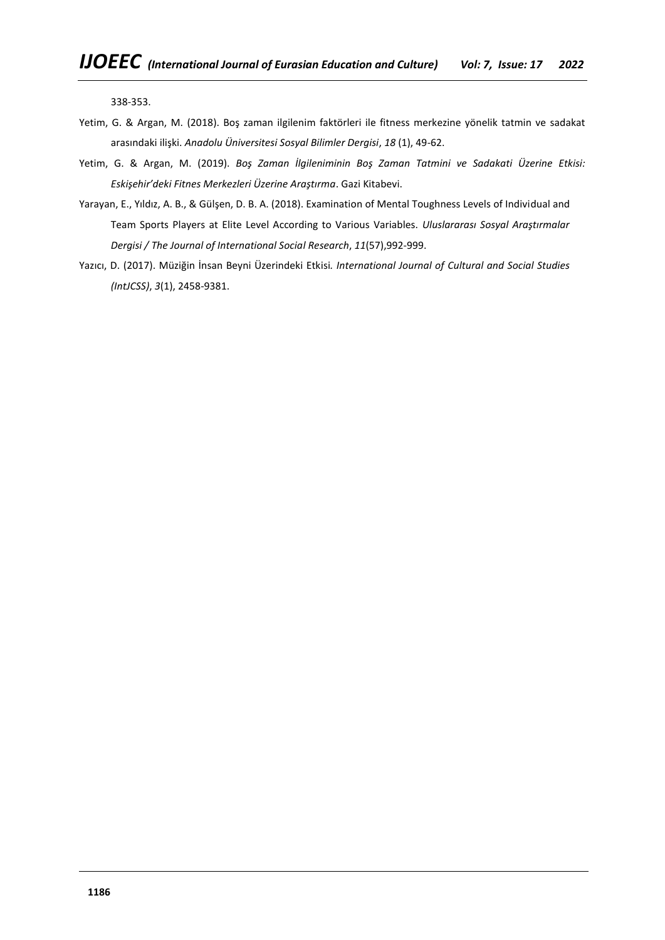338-353.

- Yetim, G. & Argan, M. (2018). Boş zaman ilgilenim faktörleri ile fitness merkezine yönelik tatmin ve sadakat arasındaki ilişki. *Anadolu Üniversitesi Sosyal Bilimler Dergisi*, *18* (1), 49-62.
- Yetim, G. & Argan, M. (2019). *Boş Zaman İlgileniminin Boş Zaman Tatmini ve Sadakati Üzerine Etkisi: Eskişehir'deki Fitnes Merkezleri Üzerine Araştırma*. Gazi Kitabevi.
- Yarayan, E., Yıldız, A. B., & Gülşen, D. B. A. (2018). Examination of Mental Toughness Levels of Individual and Team Sports Players at Elite Level According to Various Variables. *Uluslararası Sosyal Araştırmalar Dergisi / The Journal of International Social Research*, *11*(57),992-999.
- Yazıcı, D. (2017). Müziğin İnsan Beyni Üzerindeki Etkisi*. International Journal of Cultural and Social Studies (IntJCSS)*, *3*(1), 2458-9381.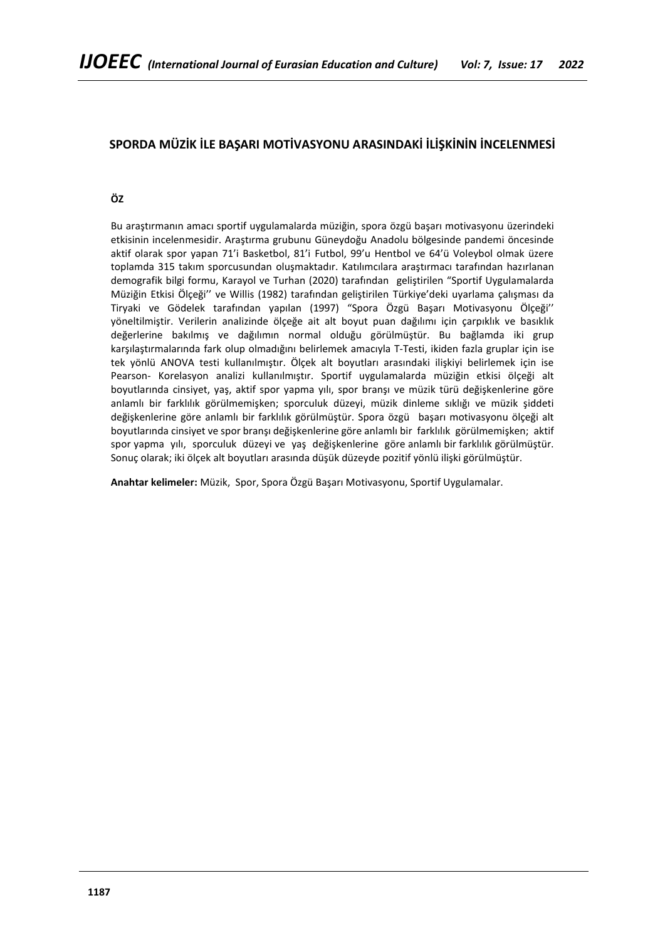# **SPORDA MÜZİK İLE BAŞARI MOTİVASYONU ARASINDAKİ İLİŞKİNİN İNCELENMESİ**

# **ÖZ**

Bu araştırmanın amacı sportif uygulamalarda müziğin, spora özgü başarı motivasyonu üzerindeki etkisinin incelenmesidir. Araştırma grubunu Güneydoğu Anadolu bölgesinde pandemi öncesinde aktif olarak spor yapan 71'i Basketbol, 81'i Futbol, 99'u Hentbol ve 64'ü Voleybol olmak üzere toplamda 315 takım sporcusundan oluşmaktadır. Katılımcılara araştırmacı tarafından hazırlanan demografik bilgi formu, Karayol ve Turhan (2020) tarafından geliştirilen "Sportif Uygulamalarda Müziğin Etkisi Ölçeği'' ve Willis (1982) tarafından geliştirilen Türkiye'deki uyarlama çalışması da Tiryaki ve Gödelek tarafından yapılan (1997) "Spora Özgü Başarı Motivasyonu Ölçeği'' yöneltilmiştir. Verilerin analizinde ölçeğe ait alt boyut puan dağılımı için çarpıklık ve basıklık değerlerine bakılmış ve dağılımın normal olduğu görülmüştür. Bu bağlamda iki grup karşılaştırmalarında fark olup olmadığını belirlemek amacıyla T-Testi, ikiden fazla gruplar için ise tek yönlü ANOVA testi kullanılmıştır. Ölçek alt boyutları arasındaki ilişkiyi belirlemek için ise Pearson- Korelasyon analizi kullanılmıştır. Sportif uygulamalarda müziğin etkisi ölçeği alt boyutlarında cinsiyet, yaş, aktif spor yapma yılı, spor branşı ve müzik türü değişkenlerine göre anlamlı bir farklılık görülmemişken; sporculuk düzeyi, müzik dinleme sıklığı ve müzik şiddeti değişkenlerine göre anlamlı bir farklılık görülmüştür. Spora özgü başarı motivasyonu ölçeği alt boyutlarında cinsiyet ve spor branşı değişkenlerine göre anlamlı bir farklılık görülmemişken; aktif spor yapma yılı, sporculuk düzeyi ve yaş değişkenlerine göre anlamlı bir farklılık görülmüştür. Sonuç olarak; iki ölçek alt boyutları arasında düşük düzeyde pozitif yönlü ilişki görülmüştür.

**Anahtar kelimeler:** Müzik, Spor, Spora Özgü Başarı Motivasyonu, Sportif Uygulamalar.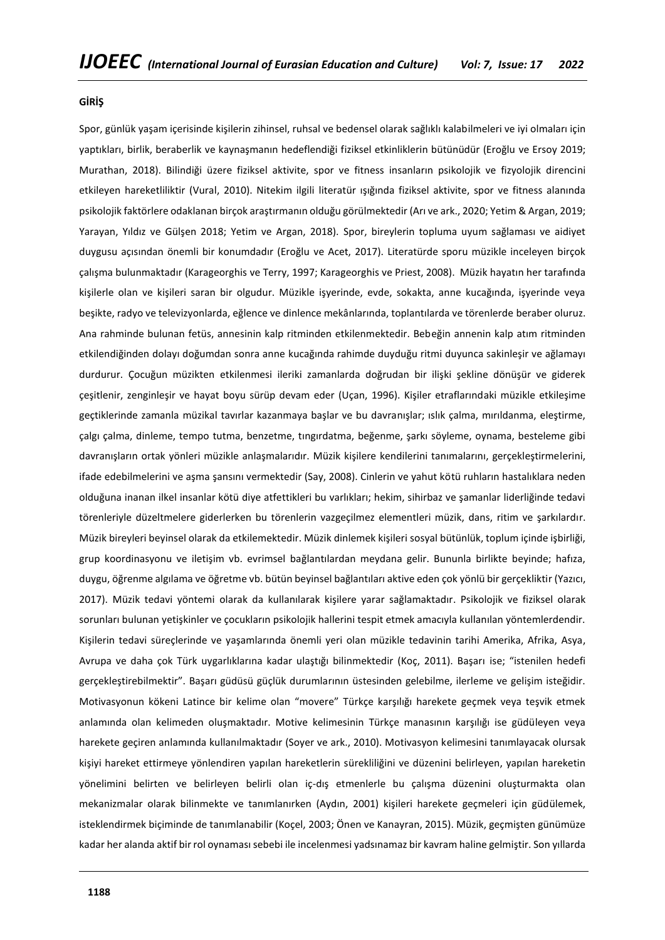### **GİRİŞ**

Spor, günlük yaşam içerisinde kişilerin zihinsel, ruhsal ve bedensel olarak sağlıklı kalabilmeleri ve iyi olmaları için yaptıkları, birlik, beraberlik ve kaynaşmanın hedeflendiği fiziksel etkinliklerin bütünüdür (Eroğlu ve Ersoy 2019; Murathan, 2018). Bilindiği üzere fiziksel aktivite, spor ve fitness insanların psikolojik ve fizyolojik direncini etkileyen hareketliliktir (Vural, 2010). Nitekim ilgili literatür ışığında fiziksel aktivite, spor ve fitness alanında psikolojik faktörlere odaklanan birçok araştırmanın olduğu görülmektedir (Arı ve ark., 2020; Yetim & Argan, 2019; Yarayan, Yıldız ve Gülşen 2018; Yetim ve Argan, 2018). Spor, bireylerin topluma uyum sağlaması ve aidiyet duygusu açısından önemli bir konumdadır (Eroğlu ve Acet, 2017). Literatürde sporu müzikle inceleyen birçok çalışma bulunmaktadır (Karageorghis ve Terry, 1997; Karageorghis ve Priest, 2008). Müzik hayatın her tarafında kişilerle olan ve kişileri saran bir olgudur. Müzikle işyerinde, evde, sokakta, anne kucağında, işyerinde veya beşikte, radyo ve televizyonlarda, eğlence ve dinlence mekânlarında, toplantılarda ve törenlerde beraber oluruz. Ana rahminde bulunan fetüs, annesinin kalp ritminden etkilenmektedir. Bebeğin annenin kalp atım ritminden etkilendiğinden dolayı doğumdan sonra anne kucağında rahimde duyduğu ritmi duyunca sakinleşir ve ağlamayı durdurur. Çocuğun müzikten etkilenmesi ileriki zamanlarda doğrudan bir ilişki şekline dönüşür ve giderek çeşitlenir, zenginleşir ve hayat boyu sürüp devam eder (Uçan, 1996). Kişiler etraflarındaki müzikle etkileşime geçtiklerinde zamanla müzikal tavırlar kazanmaya başlar ve bu davranışlar; ıslık çalma, mırıldanma, eleştirme, çalgı çalma, dinleme, tempo tutma, benzetme, tıngırdatma, beğenme, şarkı söyleme, oynama, besteleme gibi davranışların ortak yönleri müzikle anlaşmalarıdır. Müzik kişilere kendilerini tanımalarını, gerçekleştirmelerini, ifade edebilmelerini ve aşma şansını vermektedir (Say, 2008). Cinlerin ve yahut kötü ruhların hastalıklara neden olduğuna inanan ilkel insanlar kötü diye atfettikleri bu varlıkları; hekim, sihirbaz ve şamanlar liderliğinde tedavi törenleriyle düzeltmelere giderlerken bu törenlerin vazgeçilmez elementleri müzik, dans, ritim ve şarkılardır. Müzik bireyleri beyinsel olarak da etkilemektedir. Müzik dinlemek kişileri sosyal bütünlük, toplum içinde işbirliği, grup koordinasyonu ve iletişim vb. evrimsel bağlantılardan meydana gelir. Bununla birlikte beyinde; hafıza, duygu, öğrenme algılama ve öğretme vb. bütün beyinsel bağlantıları aktive eden çok yönlü bir gerçekliktir (Yazıcı, 2017). Müzik tedavi yöntemi olarak da kullanılarak kişilere yarar sağlamaktadır. Psikolojik ve fiziksel olarak sorunları bulunan yetişkinler ve çocukların psikolojik hallerini tespit etmek amacıyla kullanılan yöntemlerdendir. Kişilerin tedavi süreçlerinde ve yaşamlarında önemli yeri olan müzikle tedavinin tarihi Amerika, Afrika, Asya, Avrupa ve daha çok Türk uygarlıklarına kadar ulaştığı bilinmektedir (Koç, 2011). Başarı ise; "istenilen hedefi gerçekleştirebilmektir". Başarı güdüsü güçlük durumlarının üstesinden gelebilme, ilerleme ve gelişim isteğidir. Motivasyonun kökeni Latince bir kelime olan "movere" Türkçe karşılığı harekete geçmek veya teşvik etmek anlamında olan kelimeden oluşmaktadır. Motive kelimesinin Türkçe manasının karşılığı ise güdüleyen veya harekete geçiren anlamında kullanılmaktadır (Soyer ve ark., 2010). Motivasyon kelimesini tanımlayacak olursak kişiyi hareket ettirmeye yönlendiren yapılan hareketlerin sürekliliğini ve düzenini belirleyen, yapılan hareketin yönelimini belirten ve belirleyen belirli olan iç-dış etmenlerle bu çalışma düzenini oluşturmakta olan mekanizmalar olarak bilinmekte ve tanımlanırken (Aydın, 2001) kişileri harekete geçmeleri için güdülemek, isteklendirmek biçiminde de tanımlanabilir (Koçel, 2003; Önen ve Kanayran, 2015). Müzik, geçmişten günümüze kadar her alanda aktif bir rol oynaması sebebi ile incelenmesi yadsınamaz bir kavram haline gelmiştir. Son yıllarda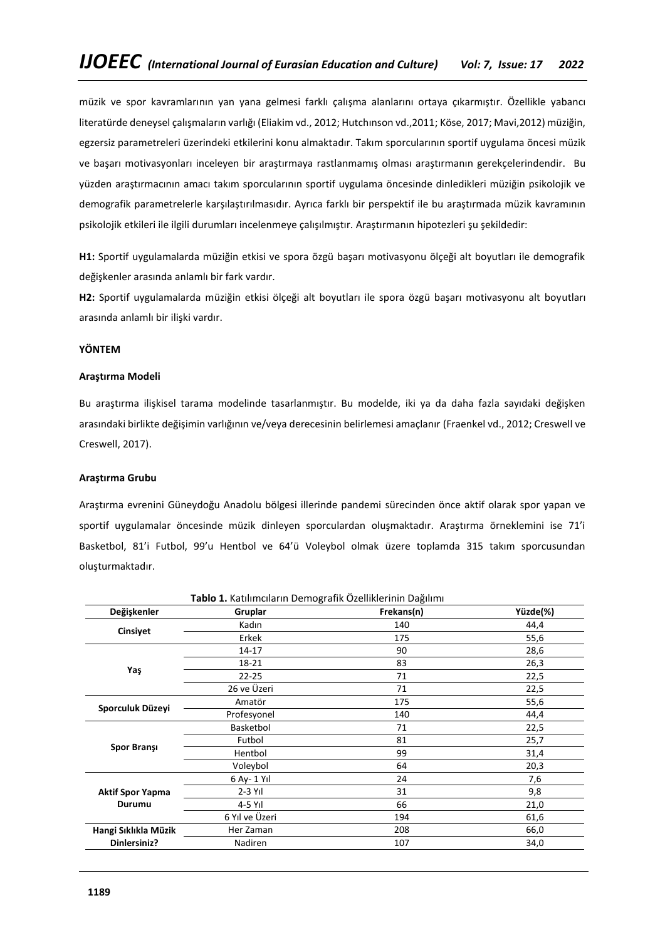müzik ve spor kavramlarının yan yana gelmesi farklı çalışma alanlarını ortaya çıkarmıştır. Özellikle yabancı literatürde deneysel çalışmaların varlığı (Eliakim vd., 2012; Hutchınson vd.,2011; Köse, 2017; Mavi,2012) müziğin, egzersiz parametreleri üzerindeki etkilerini konu almaktadır. Takım sporcularının sportif uygulama öncesi müzik ve başarı motivasyonları inceleyen bir araştırmaya rastlanmamış olması araştırmanın gerekçelerindendir. Bu yüzden araştırmacının amacı takım sporcularının sportif uygulama öncesinde dinledikleri müziğin psikolojik ve demografik parametrelerle karşılaştırılmasıdır. Ayrıca farklı bir perspektif ile bu araştırmada müzik kavramının psikolojik etkileri ile ilgili durumları incelenmeye çalışılmıştır. Araştırmanın hipotezleri şu şekildedir:

**H1:** Sportif uygulamalarda müziğin etkisi ve spora özgü başarı motivasyonu ölçeği alt boyutları ile demografik değişkenler arasında anlamlı bir fark vardır.

**H2:** Sportif uygulamalarda müziğin etkisi ölçeği alt boyutları ile spora özgü başarı motivasyonu alt boyutları arasında anlamlı bir ilişki vardır.

## **YÖNTEM**

### **Araştırma Modeli**

Bu araştırma ilişkisel tarama modelinde tasarlanmıştır. Bu modelde, iki ya da daha fazla sayıdaki değişken arasındaki birlikte değişimin varlığının ve/veya derecesinin belirlemesi amaçlanır (Fraenkel vd., 2012; Creswell ve Creswell, 2017).

### **Araştırma Grubu**

Araştırma evrenini Güneydoğu Anadolu bölgesi illerinde pandemi sürecinden önce aktif olarak spor yapan ve sportif uygulamalar öncesinde müzik dinleyen sporculardan oluşmaktadır. Araştırma örneklemini ise 71'i Basketbol, 81'i Futbol, 99'u Hentbol ve 64'ü Voleybol olmak üzere toplamda 315 takım sporcusundan oluşturmaktadır.

| Tablo 1. Katılımcıların Demografik Özelliklerinin Dağılımı |                |            |          |  |  |  |  |  |
|------------------------------------------------------------|----------------|------------|----------|--|--|--|--|--|
| Değişkenler                                                | Gruplar        | Frekans(n) | Yüzde(%) |  |  |  |  |  |
|                                                            | Kadın          | 140        | 44,4     |  |  |  |  |  |
| Cinsiyet                                                   | Erkek          | 175        | 55,6     |  |  |  |  |  |
|                                                            | 14-17          | 90         | 28,6     |  |  |  |  |  |
|                                                            | 18-21          | 83         | 26,3     |  |  |  |  |  |
| Yaş                                                        | $22 - 25$      | 71         | 22,5     |  |  |  |  |  |
|                                                            | 26 ve Üzeri    | 71         | 22,5     |  |  |  |  |  |
| Sporculuk Düzeyi                                           | Amatör         | 175        | 55,6     |  |  |  |  |  |
|                                                            | Profesyonel    | 140        | 44,4     |  |  |  |  |  |
|                                                            | Basketbol      | 71         | 22,5     |  |  |  |  |  |
|                                                            | Futbol         | 81         | 25,7     |  |  |  |  |  |
| <b>Spor Bransı</b>                                         | Hentbol        | 99         | 31,4     |  |  |  |  |  |
|                                                            | Voleybol       | 64         | 20,3     |  |  |  |  |  |
|                                                            | 6 Ay- 1 Yıl    | 24         | 7,6      |  |  |  |  |  |
| <b>Aktif Spor Yapma</b>                                    | $2-3$ Yıl      | 31         | 9,8      |  |  |  |  |  |
| Durumu                                                     | 4-5 Yıl        | 66         | 21,0     |  |  |  |  |  |
|                                                            | 6 Yıl ve Üzeri | 194        | 61,6     |  |  |  |  |  |
| Hangi Sıklıkla Müzik                                       | Her Zaman      | 208        | 66,0     |  |  |  |  |  |
| Dinlersiniz?                                               | Nadiren        | 107        | 34,0     |  |  |  |  |  |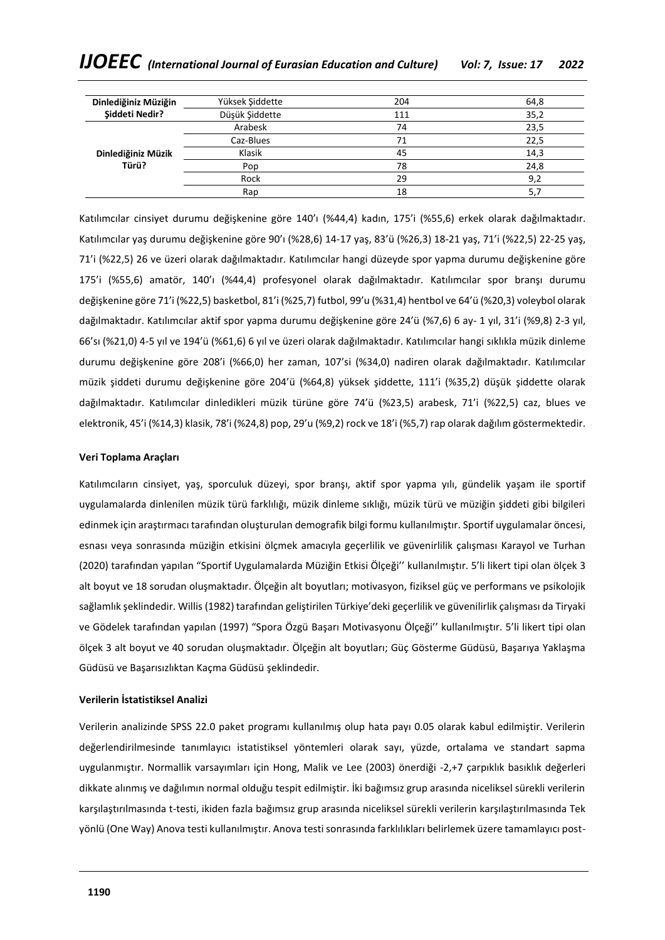| Dinlediğiniz Müziğin | Yüksek Şiddette | 204 | 64,8 |
|----------------------|-----------------|-----|------|
| Siddeti Nedir?       | Düşük Şiddette  | 111 | 35,2 |
|                      | Arabesk         | 74  | 23,5 |
|                      | Caz-Blues       | 71  | 22.5 |
| Dinlediğiniz Müzik   | Klasik          | 45  | 14,3 |
| Türü?                | Pop             | 78  | 24,8 |
|                      | Rock            | 29  | 9,2  |
|                      | Rap             | 18  | 5,7  |

Katılımcılar cinsiyet durumu değişkenine göre 140'ı (%44,4) kadın, 175'i (%55,6) erkek olarak dağılmaktadır. Katılımcılar yaş durumu değişkenine göre 90'ı (%28,6) 14-17 yaş, 83'ü (%26,3) 18-21 yaş, 71'i (%22,5) 22-25 yaş, 71'i (%22,5) 26 ve üzeri olarak dağılmaktadır. Katılımcılar hangi düzeyde spor yapma durumu değişkenine göre 175'i (%55,6) amatör, 140'ı (%44,4) profesyonel olarak dağılmaktadır. Katılımcılar spor branşı durumu değişkenine göre 71'i (%22,5) basketbol, 81'i (%25,7) futbol, 99'u (%31,4) hentbol ve 64'ü (%20,3) voleybol olarak dağılmaktadır. Katılımcılar aktif spor yapma durumu değişkenine göre 24'ü (%7,6) 6 ay- 1 yıl, 31'i (%9,8) 2-3 yıl, 66'sı (%21,0) 4-5 yıl ve 194'ü (%61,6) 6 yıl ve üzeri olarak dağılmaktadır. Katılımcılar hangi sıklıkla müzik dinleme durumu değişkenine göre 208'i (%66,0) her zaman, 107'si (%34,0) nadiren olarak dağılmaktadır. Katılımcılar müzik şiddeti durumu değişkenine göre 204'ü (%64,8) yüksek şiddette, 111'i (%35,2) düşük şiddette olarak dağılmaktadır. Katılımcılar dinledikleri müzik türüne göre 74'ü (%23,5) arabesk, 71'i (%22,5) caz, blues ve elektronik, 45'i (%14,3) klasik, 78'i (%24,8) pop, 29'u (%9,2) rock ve 18'i (%5,7) rap olarak dağılım göstermektedir.

# **Veri Toplama Araçları**

Katılımcıların cinsiyet, yaş, sporculuk düzeyi, spor branşı, aktif spor yapma yılı, gündelik yaşam ile sportif uygulamalarda dinlenilen müzik türü farklılığı, müzik dinleme sıklığı, müzik türü ve müziğin şiddeti gibi bilgileri edinmek için araştırmacı tarafından oluşturulan demografik bilgi formu kullanılmıştır. Sportif uygulamalar öncesi, esnası veya sonrasında müziğin etkisini ölçmek amacıyla geçerlilik ve güvenirlilik çalışması Karayol ve Turhan (2020) tarafından yapılan "Sportif Uygulamalarda Müziğin Etkisi Ölçeği'' kullanılmıştır. 5'li likert tipi olan ölçek 3 alt boyut ve 18 sorudan oluşmaktadır. Ölçeğin alt boyutları; motivasyon, fiziksel güç ve performans ve psikolojik sağlamlık şeklindedir. Willis (1982) tarafından geliştirilen Türkiye'deki geçerlilik ve güvenilirlik çalışması da Tiryaki ve Gödelek tarafından yapılan (1997) "Spora Özgü Başarı Motivasyonu Ölçeği'' kullanılmıştır. 5'li likert tipi olan ölçek 3 alt boyut ve 40 sorudan oluşmaktadır. Ölçeğin alt boyutları; Güç Gösterme Güdüsü, Başarıya Yaklaşma Güdüsü ve Başarısızlıktan Kaçma Güdüsü şeklindedir.

# **Verilerin İstatistiksel Analizi**

Verilerin analizinde SPSS 22.0 paket programı kullanılmış olup hata payı 0.05 olarak kabul edilmiştir. Verilerin değerlendirilmesinde tanımlayıcı istatistiksel yöntemleri olarak sayı, yüzde, ortalama ve standart sapma uygulanmıştır. Normallik varsayımları için Hong, Malik ve Lee (2003) önerdiği -2,+7 çarpıklık basıklık değerleri dikkate alınmış ve dağılımın normal olduğu tespit edilmiştir. İki bağımsız grup arasında niceliksel sürekli verilerin karşılaştırılmasında t-testi, ikiden fazla bağımsız grup arasında niceliksel sürekli verilerin karşılaştırılmasında Tek yönlü (One Way) Anova testi kullanılmıştır. Anova testi sonrasında farklılıkları belirlemek üzere tamamlayıcı post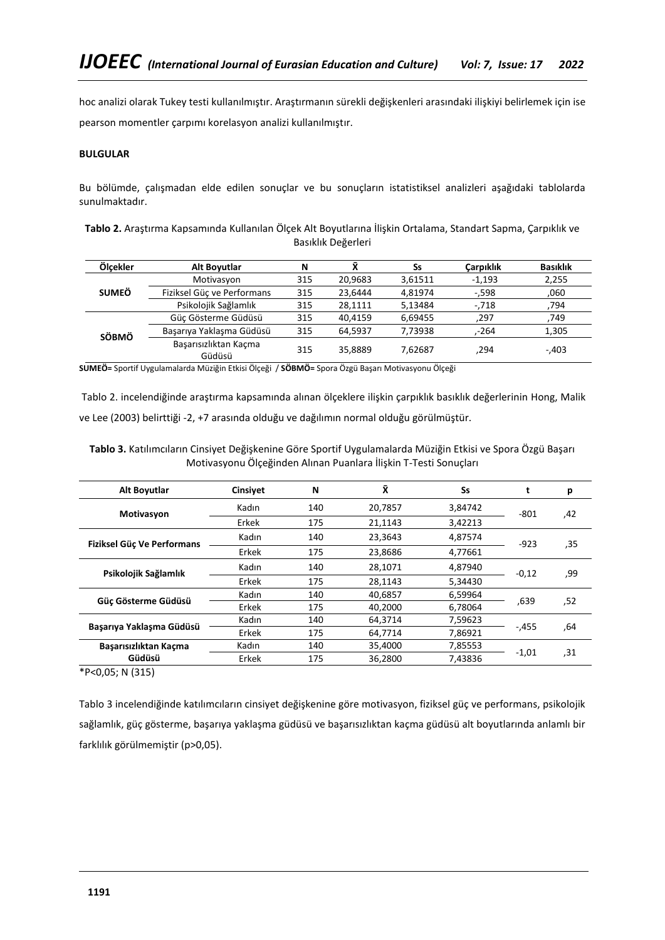hoc analizi olarak Tukey testi kullanılmıştır. Araştırmanın sürekli değişkenleri arasındaki ilişkiyi belirlemek için ise pearson momentler çarpımı korelasyon analizi kullanılmıştır.

# **BULGULAR**

Bu bölümde, çalışmadan elde edilen sonuçlar ve bu sonuçların istatistiksel analizleri aşağıdaki tablolarda sunulmaktadır.

| Tablo 2. Araştırma Kapsamında Kullanılan Ölçek Alt Boyutlarına İlişkin Ortalama, Standart Sapma, Çarpıklık ve |
|---------------------------------------------------------------------------------------------------------------|
| Basıklık Değerleri                                                                                            |

| Ölcekler     | Alt Boyutlar                    | N   | $\bar{\mathbf{v}}$ | Ss      | Carpıklık | <b>Basıklık</b> |
|--------------|---------------------------------|-----|--------------------|---------|-----------|-----------------|
|              | Motivasyon                      | 315 | 20.9683            | 3.61511 | $-1.193$  | 2,255           |
| <b>SUMEÖ</b> | Fiziksel Güc ve Performans      | 315 | 23,6444            | 4.81974 | $-598$    | ,060            |
|              | Psikolojik Sağlamlık            | 315 | 28.1111            | 5,13484 | -,718     | 794             |
|              | Güç Gösterme Güdüsü             | 315 | 40.4159            | 6.69455 | .297      | 749.            |
| <b>SÖBMÖ</b> | Başarıya Yaklaşma Güdüşü        | 315 | 64,5937            | 7.73938 | -264      | 1,305           |
|              | Basarısızlıktan Kaçma<br>Güdüsü | 315 | 35,8889            | 7.62687 | .294      | $-.403$         |

**SUMEÖ=** Sportif Uygulamalarda Müziğin Etkisi Ölçeği / **SÖBMÖ=** Spora Özgü Başarı Motivasyonu Ölçeği

Tablo 2. incelendiğinde araştırma kapsamında alınan ölçeklere ilişkin çarpıklık basıklık değerlerinin Hong, Malik ve Lee (2003) belirttiği -2, +7 arasında olduğu ve dağılımın normal olduğu görülmüştür.

**Tablo 3.** Katılımcıların Cinsiyet Değişkenine Göre Sportif Uygulamalarda Müziğin Etkisi ve Spora Özgü Başarı Motivasyonu Ölçeğinden Alınan Puanlara İlişkin T-Testi Sonuçları

| Alt Boyutlar               | Cinsiyet | N   | Χ       | Ss      | t       | р   |
|----------------------------|----------|-----|---------|---------|---------|-----|
| Motivasyon                 | Kadın    | 140 | 20.7857 | 3,84742 | $-801$  | 42, |
|                            | Erkek    | 175 | 21,1143 | 3,42213 |         |     |
| Fiziksel Güç Ve Performans | Kadın    | 140 | 23.3643 | 4,87574 | $-923$  | ,35 |
|                            | Erkek    | 175 | 23.8686 | 4.77661 |         |     |
| Psikolojik Sağlamlık       | Kadın    | 140 | 28,1071 | 4,87940 | $-0,12$ | ,99 |
|                            | Erkek    | 175 | 28.1143 | 5,34430 |         |     |
| Güc Gösterme Güdüsü        | Kadın    | 140 | 40.6857 | 6,59964 | .639    | .52 |
|                            | Erkek    | 175 | 40,2000 | 6,78064 |         |     |
|                            | Kadın    | 140 | 64,3714 | 7,59623 |         |     |
| Başarıya Yaklaşma Güdüşü   | Erkek    | 175 | 64.7714 | 7.86921 | $-.455$ | .64 |
| Basarısızlıktan Kaçma      | Kadın    | 140 | 35.4000 | 7,85553 |         |     |
| Güdüsü                     | Erkek    | 175 | 36.2800 | 7.43836 | $-1,01$ | .31 |

\*P<0,05; N (315)

Tablo 3 incelendiğinde katılımcıların cinsiyet değişkenine göre motivasyon, fiziksel güç ve performans, psikolojik sağlamlık, güç gösterme, başarıya yaklaşma güdüsü ve başarısızlıktan kaçma güdüsü alt boyutlarında anlamlı bir farklılık görülmemiştir (p>0,05).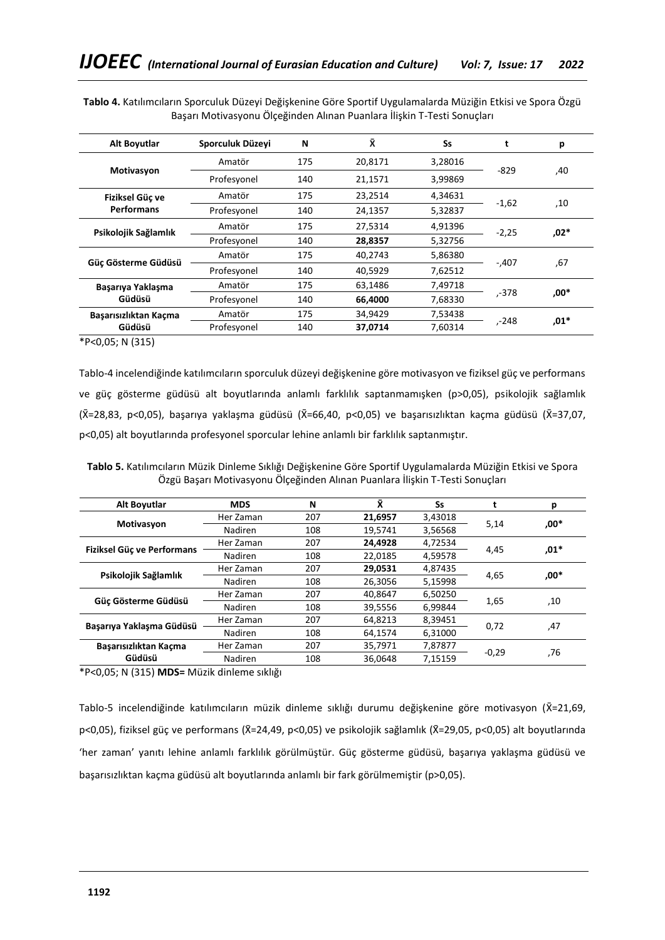| Alt Boyutlar          | Sporculuk Düzeyi | N   | Χī      | Ss      | t       | р      |
|-----------------------|------------------|-----|---------|---------|---------|--------|
|                       | Amatör           | 175 | 20,8171 | 3,28016 |         |        |
| Motivasyon            | Profesyonel      | 140 | 21,1571 | 3,99869 | $-829$  | 40,    |
| Fiziksel Güc ve       | Amatör           | 175 | 23.2514 | 4,34631 |         |        |
| <b>Performans</b>     | Profesyonel      | 140 | 24,1357 | 5,32837 | $-1,62$ | .10    |
| Psikolojik Sağlamlık  | Amatör           | 175 | 27,5314 | 4,91396 | $-2,25$ | .02*   |
|                       | Profesyonel      | 140 | 28,8357 | 5,32756 |         |        |
| Güç Gösterme Güdüsü   | Amatör           | 175 | 40,2743 | 5,86380 | $-.407$ | .67    |
|                       | Profesyonel      | 140 | 40.5929 | 7,62512 |         |        |
| Başarıya Yaklaşma     | Amatör           | 175 | 63.1486 | 7.49718 |         |        |
| Güdüsü                | Profesyonel      | 140 | 66.4000 | 7.68330 | 378-,   | .00*   |
| Başarısızlıktan Kaçma | Amatör           | 175 | 34.9429 | 7,53438 | 248-,   | $,01*$ |
| Güdüsü                | Profesyonel      | 140 | 37,0714 | 7.60314 |         |        |

**Tablo 4.** Katılımcıların Sporculuk Düzeyi Değişkenine Göre Sportif Uygulamalarda Müziğin Etkisi ve Spora Özgü Başarı Motivasyonu Ölçeğinden Alınan Puanlara İlişkin T-Testi Sonuçları

\*P<0,05; N (315)

Tablo-4 incelendiğinde katılımcıların sporculuk düzeyi değişkenine göre motivasyon ve fiziksel güç ve performans ve güç gösterme güdüsü alt boyutlarında anlamlı farklılık saptanmamışken (p>0,05), psikolojik sağlamlık (X̄=28,83, p<0,05), başarıya yaklaşma güdüsü (X̄=66,40, p<0,05) ve başarısızlıktan kaçma güdüsü (X̄=37,07, p<0,05) alt boyutlarında profesyonel sporcular lehine anlamlı bir farklılık saptanmıştır.

**Tablo 5.** Katılımcıların Müzik Dinleme Sıklığı Değişkenine Göre Sportif Uygulamalarda Müziğin Etkisi ve Spora Özgü Başarı Motivasyonu Ölçeğinden Alınan Puanlara İlişkin T-Testi Sonuçları

| <b>Alt Boyutlar</b>        | <b>MDS</b>     | N   | Χī      | Ss      |         | р      |
|----------------------------|----------------|-----|---------|---------|---------|--------|
|                            | Her Zaman      | 207 | 21,6957 | 3,43018 |         | $.00*$ |
| Motivasyon                 | Nadiren        | 108 | 19,5741 | 3,56568 | 5,14    |        |
|                            | Her Zaman      | 207 | 24,4928 | 4,72534 |         | $,01*$ |
| Fiziksel Güç ve Performans | <b>Nadiren</b> | 108 | 22,0185 | 4,59578 | 4,45    |        |
| Psikolojik Sağlamlık       | Her Zaman      | 207 | 29.0531 | 4,87435 | 4,65    | $,00*$ |
|                            | Nadiren        | 108 | 26,3056 | 5,15998 |         |        |
|                            | Her Zaman      | 207 | 40.8647 | 6,50250 |         |        |
| Güc Gösterme Güdüsü        | <b>Nadiren</b> | 108 | 39,5556 | 6,99844 | 1,65    | 10,    |
|                            | Her Zaman      | 207 | 64.8213 | 8,39451 |         |        |
| Basarıya Yaklaşma Güdüsü   | Nadiren        | 108 | 64.1574 | 6.31000 | 0,72    | ,47    |
| Basarısızlıktan Kaçma      | Her Zaman      | 207 | 35,7971 | 7,87877 | $-0,29$ | 76,    |
| Güdüsü                     | Nadiren        | 108 | 36.0648 | 7.15159 |         |        |

\*P<0,05; N (315) **MDS=** Müzik dinleme sıklığı

Tablo-5 incelendiğinde katılımcıların müzik dinleme sıklığı durumu değişkenine göre motivasyon (X̄=21,69, p<0,05), fiziksel güç ve performans (X̄=24,49, p<0,05) ve psikolojik sağlamlık (X̄=29,05, p<0,05) alt boyutlarında 'her zaman' yanıtı lehine anlamlı farklılık görülmüştür. Güç gösterme güdüsü, başarıya yaklaşma güdüsü ve başarısızlıktan kaçma güdüsü alt boyutlarında anlamlı bir fark görülmemiştir (p>0,05).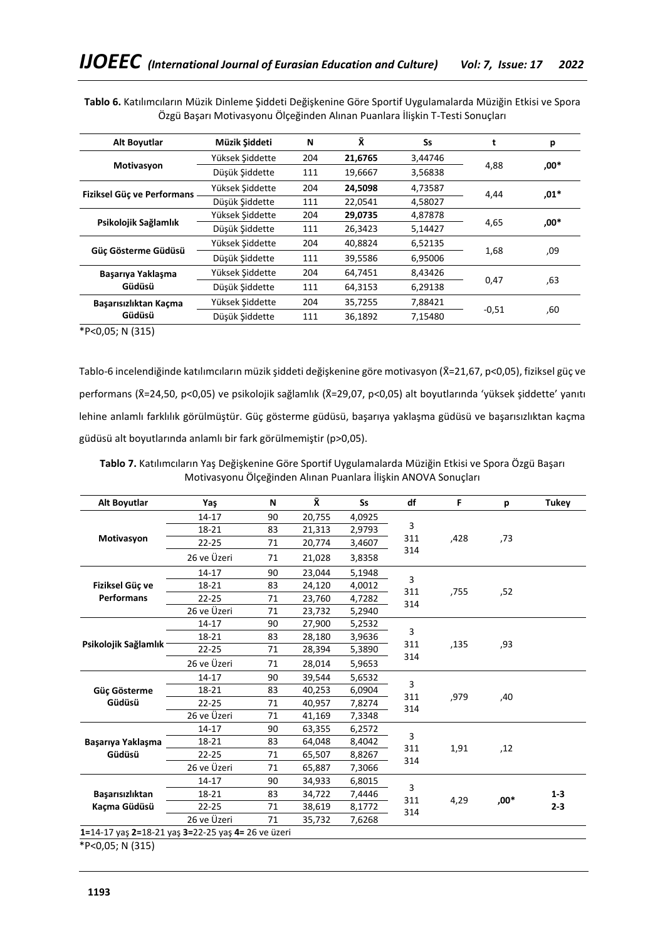| Alt Boyutlar               | Müzik Siddeti   | N   | Х.      | Ss      |         | р      |
|----------------------------|-----------------|-----|---------|---------|---------|--------|
|                            | Yüksek Siddette | 204 | 21,6765 | 3,44746 |         |        |
| Motivasyon                 | Düşük Siddette  | 111 | 19,6667 | 3,56838 | 4,88    | .00*   |
| Fiziksel Güç ve Performans | Yüksek Siddette | 204 | 24,5098 | 4,73587 | 4,44    | $,01*$ |
|                            | Düşük Siddette  | 111 | 22,0541 | 4,58027 |         |        |
| Psikolojik Sağlamlık       | Yüksek Siddette | 204 | 29,0735 | 4,87878 |         | .00*   |
|                            | Düşük Şiddette  | 111 | 26,3423 | 5,14427 | 4,65    |        |
|                            | Yüksek Siddette | 204 | 40.8824 | 6,52135 |         |        |
| Güc Gösterme Güdüsü        | Düşük Siddette  | 111 | 39,5586 | 6,95006 | 1,68    | ,09    |
| Başarıya Yaklaşma          | Yüksek Siddette | 204 | 64,7451 | 8,43426 |         |        |
| Güdüsü                     | Düsük Şiddette  | 111 | 64,3153 | 6,29138 | 0,47    | .63    |
| Basarısızlıktan Kaçma      | Yüksek Siddette | 204 | 35,7255 | 7,88421 |         |        |
| Güdüsü                     | Düşük Siddette  | 111 | 36,1892 | 7,15480 | $-0,51$ | ,60    |
|                            |                 |     |         |         |         |        |

**Tablo 6.** Katılımcıların Müzik Dinleme Şiddeti Değişkenine Göre Sportif Uygulamalarda Müziğin Etkisi ve Spora Özgü Başarı Motivasyonu Ölçeğinden Alınan Puanlara İlişkin T-Testi Sonuçları

\*P<0,05; N (315)

Tablo-6 incelendiğinde katılımcıların müzik şiddeti değişkenine göre motivasyon (X̄=21,67, p<0,05), fiziksel güç ve performans (X̄=24,50, p<0,05) ve psikolojik sağlamlık (X̄=29,07, p<0,05) alt boyutlarında 'yüksek şiddette' yanıtı lehine anlamlı farklılık görülmüştür. Güç gösterme güdüsü, başarıya yaklaşma güdüsü ve başarısızlıktan kaçma güdüsü alt boyutlarında anlamlı bir fark görülmemiştir (p>0,05).

**Tablo 7.** Katılımcıların Yaş Değişkenine Göre Sportif Uygulamalarda Müziğin Etkisi ve Spora Özgü Başarı Motivasyonu Ölçeğinden Alınan Puanlara İlişkin ANOVA Sonuçları

| <b>Alt Boyutlar</b>  | Yaş         | N  | ΧĪ.    | <b>Ss</b> | df         | F    | р    | <b>Tukey</b> |
|----------------------|-------------|----|--------|-----------|------------|------|------|--------------|
|                      | 14-17       | 90 | 20,755 | 4,0925    |            |      |      |              |
|                      | 18-21       | 83 | 21,313 | 2,9793    | 3          |      |      |              |
| Motivasyon           | $22 - 25$   | 71 | 20,774 | 3,4607    | 311        | ,428 | ,73  |              |
|                      | 26 ve Üzeri | 71 | 21,028 | 3,8358    | 314        |      |      |              |
|                      | 14-17       | 90 | 23,044 | 5,1948    |            |      |      |              |
| Fiziksel Güç ve      | 18-21       | 83 | 24,120 | 4,0012    | 3<br>311   |      |      |              |
| <b>Performans</b>    | 22-25       | 71 | 23,760 | 4,7282    | 314        | ,755 | ,52  |              |
|                      | 26 ve Üzeri | 71 | 23,732 | 5,2940    |            |      |      |              |
|                      | 14-17       | 90 | 27,900 | 5,2532    |            |      |      |              |
| Psikolojik Sağlamlık | 18-21       | 83 | 28,180 | 3,9636    | 3          | ,135 |      |              |
|                      | $22 - 25$   | 71 | 28,394 | 5,3890    | 311        |      | ,93  |              |
|                      | 26 ve Üzeri | 71 | 28,014 | 5,9653    | 314        |      |      |              |
|                      | 14-17       | 90 | 39,544 | 5,6532    |            | ,979 | ,40  |              |
| Güç Gösterme         | 18-21       | 83 | 40,253 | 6,0904    | 3          |      |      |              |
| Güdüsü               | $22 - 25$   | 71 | 40,957 | 7,8274    | 311<br>314 |      |      |              |
|                      | 26 ve Üzeri | 71 | 41,169 | 7,3348    |            |      |      |              |
|                      | 14-17       | 90 | 63,355 | 6,2572    |            |      |      |              |
| Başarıya Yaklaşma    | 18-21       | 83 | 64,048 | 8,4042    | 3          |      |      |              |
| Güdüsü               | $22 - 25$   | 71 | 65,507 | 8,8267    | 311<br>314 | 1,91 | ,12  |              |
|                      | 26 ve Üzeri | 71 | 65,887 | 7,3066    |            |      |      |              |
|                      | 14-17       | 90 | 34,933 | 6,8015    |            |      |      |              |
| Başarısızlıktan      | 18-21       | 83 | 34,722 | 7,4446    | 3          |      |      | $1 - 3$      |
| Kaçma Güdüsü         | $22 - 25$   | 71 | 38,619 | 8,1772    | 311        | 4,29 | ,00* | $2 - 3$      |
|                      | 26 ve Üzeri | 71 | 35,732 | 7,6268    | 314        |      |      |              |

**1=**14-17 yaş **2=**18-21 yaş **3=**22-25 yaş **4=** 26 ve üzeri

\*P<0,05; N (315)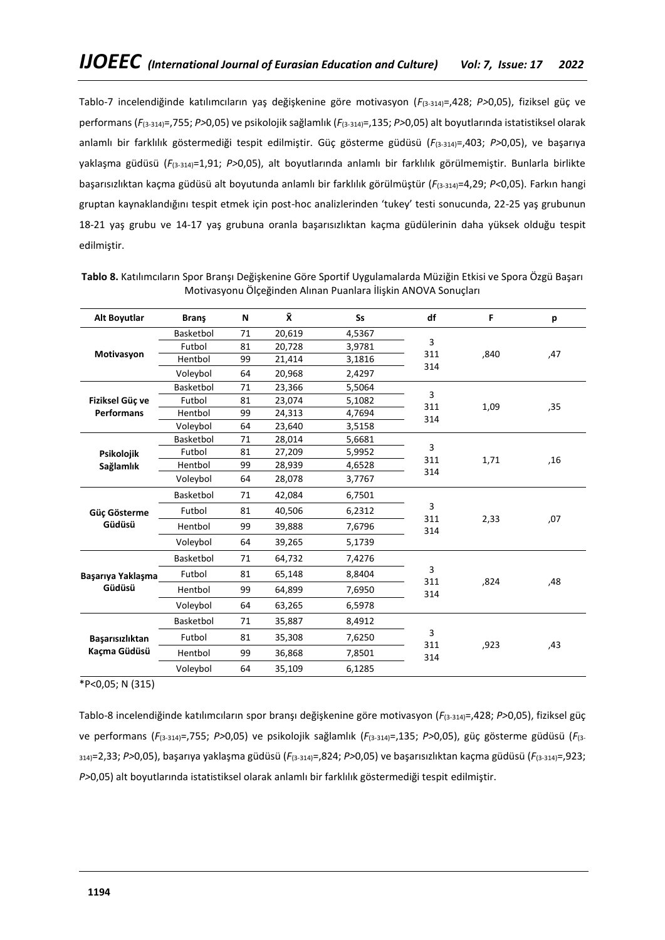Tablo-7 incelendiğinde katılımcıların yaş değişkenine göre motivasyon (*F*(3-314)=,428; *P>*0,05), fiziksel güç ve performans (*F*(3-314)=,755; *P>*0,05) ve psikolojik sağlamlık (*F*(3-314)=,135; *P>*0,05) alt boyutlarında istatistiksel olarak anlamlı bir farklılık göstermediği tespit edilmiştir. Güç gösterme güdüsü (*F*(3-314)=,403; *P>*0,05), ve başarıya yaklaşma güdüsü (*F*(3-314)=1,91; *P>*0,05), alt boyutlarında anlamlı bir farklılık görülmemiştir. Bunlarla birlikte başarısızlıktan kaçma güdüsü alt boyutunda anlamlı bir farklılık görülmüştür (*F*(3-314)=4,29; *P<*0,05). Farkın hangi gruptan kaynaklandığını tespit etmek için post-hoc analizlerinden 'tukey' testi sonucunda, 22-25 yaş grubunun 18-21 yaş grubu ve 14-17 yaş grubuna oranla başarısızlıktan kaçma güdülerinin daha yüksek olduğu tespit edilmiştir.

| <b>Alt Boyutlar</b> | <b>Brans</b> | N  | Χ.     | <b>Ss</b> | df         | F    | p   |
|---------------------|--------------|----|--------|-----------|------------|------|-----|
|                     | Basketbol    | 71 | 20,619 | 4,5367    |            |      |     |
|                     | Futbol       | 81 | 20,728 | 3,9781    | 3          |      |     |
| Motivasyon          | Hentbol      | 99 | 21,414 | 3,1816    | 311<br>314 | ,840 | ,47 |
|                     | Voleybol     | 64 | 20,968 | 2,4297    |            |      |     |
|                     | Basketbol    | 71 | 23,366 | 5,5064    |            |      |     |
| Fiziksel Güc ve     | Futbol       | 81 | 23,074 | 5,1082    | 3<br>311   | 1,09 | ,35 |
| <b>Performans</b>   | Hentbol      | 99 | 24,313 | 4,7694    | 314        |      |     |
|                     | Voleybol     | 64 | 23,640 | 3,5158    |            |      |     |
|                     | Basketbol    | 71 | 28,014 | 5,6681    | 3          |      |     |
| Psikolojik          | Futbol       | 81 | 27,209 | 5,9952    | 311        |      |     |
| Sağlamlık           | Hentbol      | 99 | 28,939 | 4,6528    | 314        | 1,71 | ,16 |
|                     | Voleybol     | 64 | 28,078 | 3,7767    |            |      |     |
|                     | Basketbol    | 71 | 42,084 | 6,7501    |            |      |     |
| Güç Gösterme        | Futbol       | 81 | 40,506 | 6,2312    | 3<br>311   | 2,33 | ,07 |
| Güdüsü              | Hentbol      | 99 | 39,888 | 7,6796    | 314        |      |     |
|                     | Voleybol     | 64 | 39,265 | 5,1739    |            |      |     |
|                     | Basketbol    | 71 | 64,732 | 7,4276    |            |      |     |
| Basarıya Yaklasma   | Futbol       | 81 | 65,148 | 8,8404    | 3<br>311   | ,824 | ,48 |
| Güdüsü              | Hentbol      | 99 | 64,899 | 7,6950    | 314        |      |     |
|                     | Voleybol     | 64 | 63,265 | 6,5978    |            |      |     |
|                     | Basketbol    | 71 | 35,887 | 8,4912    |            |      |     |
| Başarısızlıktan     | Futbol       | 81 | 35,308 | 7,6250    | 3<br>311   | ,923 | ,43 |
| Kaçma Güdüsü        | Hentbol      | 99 | 36,868 | 7,8501    | 314        |      |     |
|                     | Voleybol     | 64 | 35,109 | 6,1285    |            |      |     |

**Tablo 8.** Katılımcıların Spor Branşı Değişkenine Göre Sportif Uygulamalarda Müziğin Etkisi ve Spora Özgü Başarı Motivasyonu Ölçeğinden Alınan Puanlara İlişkin ANOVA Sonuçları

\*P<0,05; N (315)

Tablo-8 incelendiğinde katılımcıların spor branşı değişkenine göre motivasyon (*F*(3-314)=,428; *P>*0,05), fiziksel güç ve performans (*F*(3-314)=,755; *P>*0,05) ve psikolojik sağlamlık (*F*(3-314)=,135; *P>*0,05), güç gösterme güdüsü (*F*(3- 314)=2,33; *P>*0,05), başarıya yaklaşma güdüsü (*F*(3-314)=,824; *P>*0,05) ve başarısızlıktan kaçma güdüsü (*F*(3-314)=,923; *P>*0,05) alt boyutlarında istatistiksel olarak anlamlı bir farklılık göstermediği tespit edilmiştir.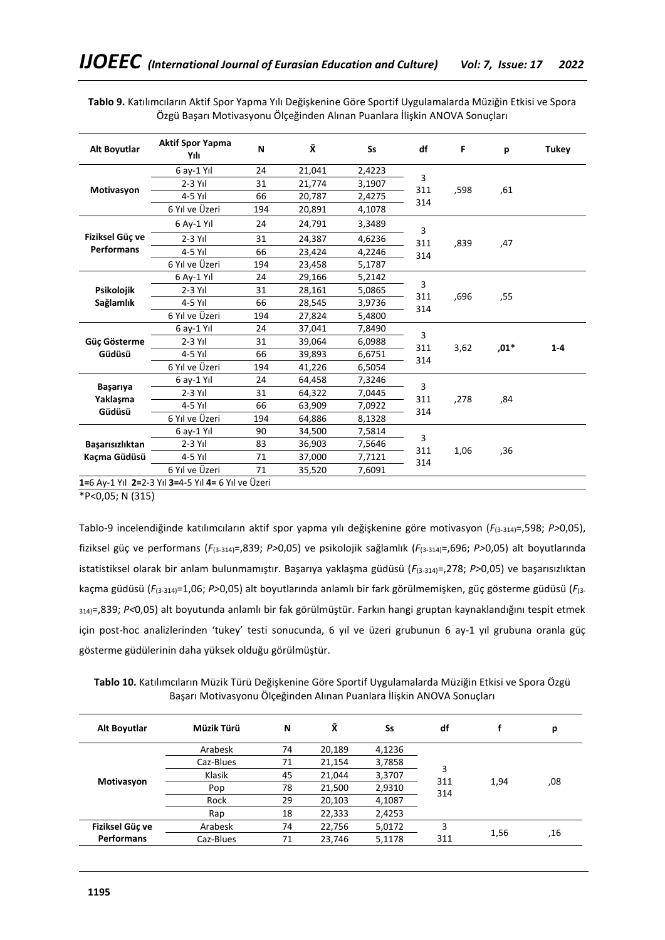| Alt Boyutlar      | <b>Aktif Spor Yapma</b><br>Yılı                    | N   | ΧĪ.    | <b>Ss</b> | df         | F    | p      | <b>Tukey</b> |
|-------------------|----------------------------------------------------|-----|--------|-----------|------------|------|--------|--------------|
|                   | 6 av-1 Yıl                                         | 24  | 21,041 | 2,4223    |            |      |        |              |
|                   | $2-3$ Yıl                                          | 31  | 21,774 | 3,1907    | 3          |      |        |              |
| Motivasyon        | $4-5$ Yıl                                          | 66  | 20,787 | 2,4275    | 311<br>314 | ,598 | ,61    |              |
|                   | 6 Yıl ve Üzeri                                     | 194 | 20,891 | 4,1078    |            |      |        |              |
|                   | 6 Ay-1 Yıl                                         | 24  | 24,791 | 3,3489    | 3          |      |        |              |
| Fiziksel Güç ve   | $2-3$ Yıl                                          | 31  | 24,387 | 4,6236    | 311        | ,839 | 47,    |              |
| <b>Performans</b> | 4-5 Yıl                                            | 66  | 23,424 | 4,2246    | 314        |      |        |              |
|                   | 6 Yıl ve Üzeri                                     | 194 | 23,458 | 5,1787    |            |      |        |              |
|                   | 6 Ay-1 Yıl                                         | 24  | 29,166 | 5,2142    |            |      |        |              |
| Psikolojik        | $2-3$ Yıl                                          | 31  | 28,161 | 5,0865    | 3<br>311   |      |        |              |
| Sağlamlık         | $4-5$ Yıl                                          | 66  | 28,545 | 3,9736    | 314        | ,696 | ,55    |              |
|                   | 6 Yıl ve Üzeri                                     | 194 | 27,824 | 5,4800    |            |      |        |              |
|                   | 6 ay-1 Yıl                                         | 24  | 37,041 | 7,8490    |            |      |        |              |
| Güç Gösterme      | $2-3$ Yıl                                          | 31  | 39,064 | 6,0988    | 3<br>311   | 3,62 | $,01*$ | $1 - 4$      |
| Güdüsü            | $4-5$ Yıl                                          | 66  | 39,893 | 6,6751    | 314        |      |        |              |
|                   | 6 Yıl ve Üzeri                                     | 194 | 41,226 | 6,5054    |            |      |        |              |
|                   | 6 av-1 Yıl                                         | 24  | 64,458 | 7,3246    |            |      |        |              |
| Başarıya          | $2-3$ Yıl                                          | 31  | 64,322 | 7,0445    | 3<br>311   | ,278 |        |              |
| Yaklaşma          | $4-5$ Yıl                                          | 66  | 63,909 | 7,0922    | 314        |      | ,84    |              |
| Güdüsü            | 6 Yıl ve Üzeri                                     | 194 | 64,886 | 8,1328    |            |      |        |              |
|                   | 6 av-1 Yıl                                         | 90  | 34,500 | 7,5814    | 3          |      |        |              |
| Başarısızlıktan   | $2-3$ Yıl                                          | 83  | 36,903 | 7,5646    | 311        | 1,06 | ,36    |              |
| Kacma Güdüsü      | $4-5$ Yıl                                          | 71  | 37,000 | 7,7121    | 314        |      |        |              |
|                   | 6 Yıl ve Üzeri                                     | 71  | 35,520 | 7,6091    |            |      |        |              |
|                   | 1=6 Av-1 Yıl 2=2-3 Yıl 3=4-5 Yıl 4= 6 Yıl ve Üzeri |     |        |           |            |      |        |              |

**Tablo 9.** Katılımcıların Aktif Spor Yapma Yılı Değişkenine Göre Sportif Uygulamalarda Müziğin Etkisi ve Spora Özgü Başarı Motivasyonu Ölçeğinden Alınan Puanlara İlişkin ANOVA Sonuçları

**1=**6 Ay-1 Yıl **2=**2-3 Yıl **3=**4-5 Yıl **4=** 6 Yıl ve Üzeri

\*P<0,05; N (315)

Tablo-9 incelendiğinde katılımcıların aktif spor yapma yılı değişkenine göre motivasyon (*F*(3-314)=,598; *P>*0,05), fiziksel güç ve performans (*F*(3-314)=,839; *P>*0,05) ve psikolojik sağlamlık (*F*(3-314)=,696; *P>*0,05) alt boyutlarında istatistiksel olarak bir anlam bulunmamıştır. Başarıya yaklaşma güdüsü (*F*(3-314)=,278; *P>*0,05) ve başarısızlıktan kaçma güdüsü (*F*(3-314)=1,06; *P>*0,05) alt boyutlarında anlamlı bir fark görülmemişken, güç gösterme güdüsü (*F*(3- 314)=,839; *P<*0,05) alt boyutunda anlamlı bir fak görülmüştür. Farkın hangi gruptan kaynaklandığını tespit etmek için post-hoc analizlerinden 'tukey' testi sonucunda, 6 yıl ve üzeri grubunun 6 ay-1 yıl grubuna oranla güç gösterme güdülerinin daha yüksek olduğu görülmüştür.

**Tablo 10.** Katılımcıların Müzik Türü Değişkenine Göre Sportif Uygulamalarda Müziğin Etkisi ve Spora Özgü Başarı Motivasyonu Ölçeğinden Alınan Puanlara İlişkin ANOVA Sonuçları

| Alt Boyutlar                         | Müzik Türü | N  | Χī     | Ss     | df       |      | р   |
|--------------------------------------|------------|----|--------|--------|----------|------|-----|
|                                      | Arabesk    | 74 | 20,189 | 4,1236 |          |      | ,08 |
|                                      | Caz-Blues  | 71 | 21,154 | 3,7858 |          |      |     |
|                                      | Klasik     | 45 | 21,044 | 3,3707 | 3<br>311 | 1.94 |     |
| Motivasyon                           | Pop        | 78 | 21,500 | 2,9310 | 314      |      |     |
|                                      | Rock       | 29 | 20,103 | 4,1087 |          |      |     |
|                                      | Rap        | 18 | 22,333 | 2,4253 |          |      |     |
| Fiziksel Güç ve<br><b>Performans</b> | Arabesk    | 74 | 22,756 | 5,0172 | 3        |      |     |
|                                      | Caz-Blues  | 71 | 23,746 | 5,1178 | 311      | 1,56 | .16 |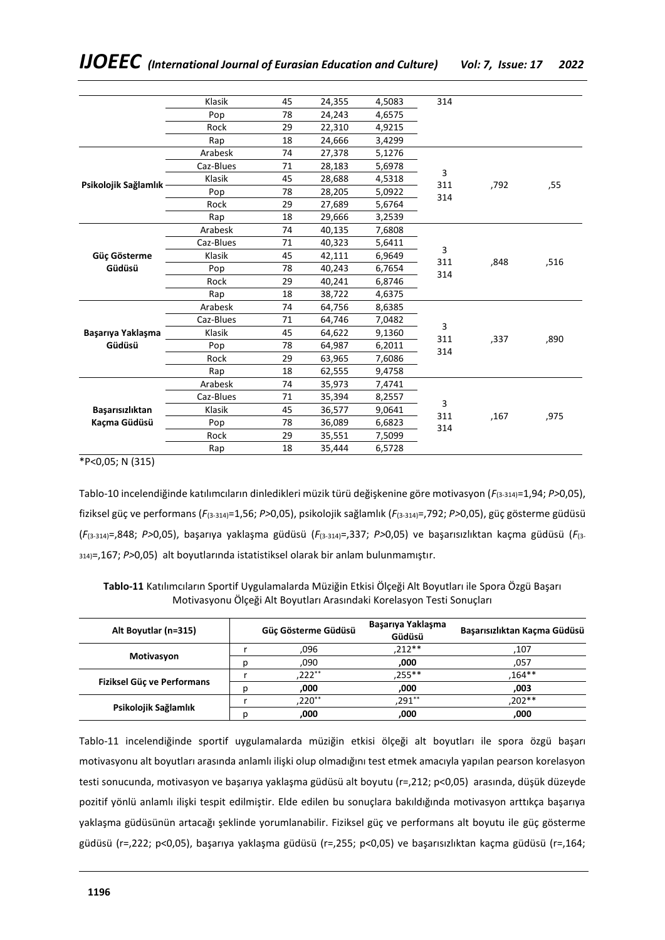|                        | Klasik    | 45 | 24,355 | 4,5083 | 314             |      |      |
|------------------------|-----------|----|--------|--------|-----------------|------|------|
|                        | Pop       | 78 | 24,243 | 4,6575 |                 |      |      |
|                        | Rock      | 29 | 22,310 | 4,9215 |                 |      |      |
|                        | Rap       | 18 | 24,666 | 3,4299 |                 |      |      |
| Psikolojik Sağlamlık   | Arabesk   | 74 | 27,378 | 5,1276 | 3<br>311<br>314 | ,792 | ,55  |
|                        | Caz-Blues | 71 | 28,183 | 5,6978 |                 |      |      |
|                        | Klasik    | 45 | 28,688 | 4,5318 |                 |      |      |
|                        | Pop       | 78 | 28,205 | 5,0922 |                 |      |      |
|                        | Rock      | 29 | 27,689 | 5,6764 |                 |      |      |
|                        | Rap       | 18 | 29,666 | 3,2539 |                 |      |      |
| Güç Gösterme<br>Güdüsü | Arabesk   | 74 | 40,135 | 7,6808 | 3<br>311<br>314 | ,848 | ,516 |
|                        | Caz-Blues | 71 | 40,323 | 5,6411 |                 |      |      |
|                        | Klasik    | 45 | 42,111 | 6,9649 |                 |      |      |
|                        | Pop       | 78 | 40,243 | 6,7654 |                 |      |      |
|                        | Rock      | 29 | 40,241 | 6,8746 |                 |      |      |
|                        | Rap       | 18 | 38,722 | 4,6375 |                 |      |      |
|                        | Arabesk   | 74 | 64,756 | 8,6385 |                 |      |      |
|                        | Caz-Blues | 71 | 64,746 | 7,0482 |                 |      |      |
| Başarıya Yaklaşma      | Klasik    | 45 | 64,622 | 9,1360 | 3               |      | ,890 |
| Güdüsü                 | Pop       | 78 | 64,987 | 6,2011 | 311<br>314      | ,337 |      |
|                        | Rock      | 29 | 63,965 | 7,6086 |                 |      |      |
|                        | Rap       | 18 | 62,555 | 9,4758 |                 |      |      |
|                        | Arabesk   | 74 | 35,973 | 7,4741 |                 |      |      |
|                        | Caz-Blues | 71 | 35,394 | 8,2557 |                 |      |      |
| Başarısızlıktan        | Klasik    | 45 | 36,577 | 9,0641 | 3<br>311        |      |      |
| Kaçma Güdüsü           | Pop       | 78 | 36,089 | 6,6823 | 314             | .167 | ,975 |
|                        | Rock      | 29 | 35,551 | 7,5099 |                 |      |      |
|                        | Rap       | 18 | 35,444 | 6,5728 |                 |      |      |
|                        |           |    |        |        |                 |      |      |

\*P<0,05; N (315)

Tablo-10 incelendiğinde katılımcıların dinledikleri müzik türü değişkenine göre motivasyon (*F*(3-314)=1,94; *P>*0,05), fiziksel güç ve performans (*F*(3-314)=1,56; *P>*0,05), psikolojik sağlamlık (*F*(3-314)=,792; *P>*0,05), güç gösterme güdüsü (*F*(3-314)=,848; *P>*0,05), başarıya yaklaşma güdüsü (*F*(3-314)=,337; *P>*0,05) ve başarısızlıktan kaçma güdüsü (*F*(3- 314)=,167; *P>*0,05) alt boyutlarında istatistiksel olarak bir anlam bulunmamıştır.

**Tablo-11** Katılımcıların Sportif Uygulamalarda Müziğin Etkisi Ölçeği Alt Boyutları ile Spora Özgü Başarı Motivasyonu Ölçeği Alt Boyutları Arasındaki Korelasyon Testi Sonuçları

| Alt Boyutlar (n=315)       |   | Güç Gösterme Güdüsü | Başarıya Yaklaşma<br>Güdüsü | Basarısızlıktan Kaçma Güdüsü |
|----------------------------|---|---------------------|-----------------------------|------------------------------|
|                            |   | .096                | $212**$                     | 107.                         |
| Motivasyon                 |   | .090                | ,000                        | ,057                         |
|                            |   | $,222**$            | $.255***$                   | $.164***$                    |
| Fiziksel Güç ve Performans |   | .000                | ,000                        | ,003                         |
|                            |   | ,220**              | $291**$                     | $.202**$                     |
| Psikolojik Sağlamlık       | D | ,000                | ,000                        | ,000                         |

Tablo-11 incelendiğinde sportif uygulamalarda müziğin etkisi ölçeği alt boyutları ile spora özgü başarı motivasyonu alt boyutları arasında anlamlı ilişki olup olmadığını test etmek amacıyla yapılan pearson korelasyon testi sonucunda, motivasyon ve başarıya yaklaşma güdüsü alt boyutu (r=,212; p<0,05) arasında, düşük düzeyde pozitif yönlü anlamlı ilişki tespit edilmiştir. Elde edilen bu sonuçlara bakıldığında motivasyon arttıkça başarıya yaklaşma güdüsünün artacağı şeklinde yorumlanabilir. Fiziksel güç ve performans alt boyutu ile güç gösterme güdüsü (r=,222; p<0,05), başarıya yaklaşma güdüsü (r=,255; p<0,05) ve başarısızlıktan kaçma güdüsü (r=,164;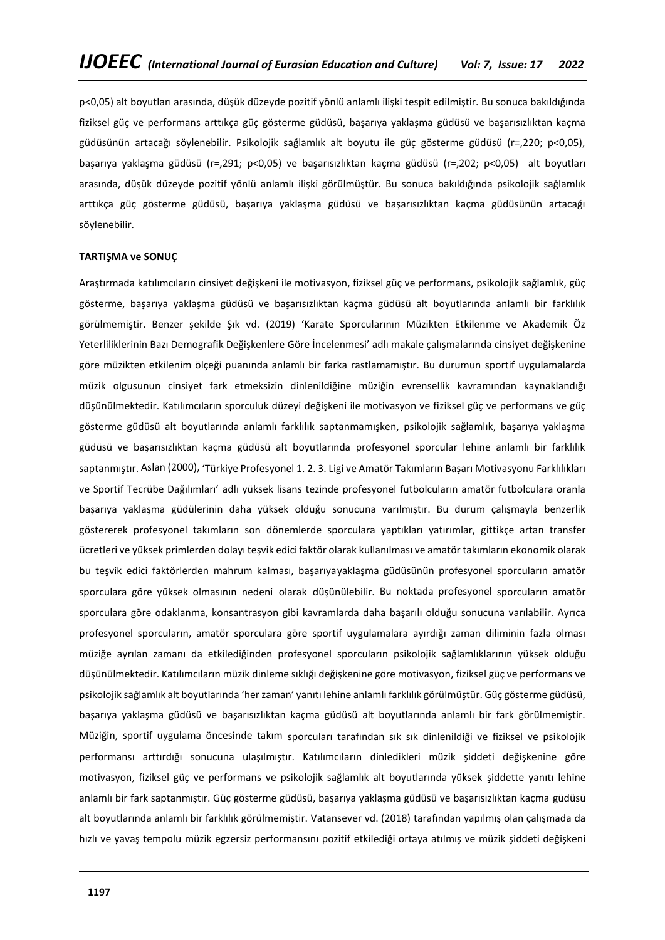p<0,05) alt boyutları arasında, düşük düzeyde pozitif yönlü anlamlı ilişki tespit edilmiştir. Bu sonuca bakıldığında fiziksel güç ve performans arttıkça güç gösterme güdüsü, başarıya yaklaşma güdüsü ve başarısızlıktan kaçma güdüsünün artacağı söylenebilir. Psikolojik sağlamlık alt boyutu ile güç gösterme güdüsü (r=,220; p<0,05), başarıya yaklaşma güdüsü (r=,291; p<0,05) ve başarısızlıktan kaçma güdüsü (r=,202; p<0,05) alt boyutları arasında, düşük düzeyde pozitif yönlü anlamlı ilişki görülmüştür. Bu sonuca bakıldığında psikolojik sağlamlık arttıkça güç gösterme güdüsü, başarıya yaklaşma güdüsü ve başarısızlıktan kaçma güdüsünün artacağı söylenebilir.

### **TARTIŞMA ve SONUÇ**

Araştırmada katılımcıların cinsiyet değişkeni ile motivasyon, fiziksel güç ve performans, psikolojik sağlamlık, güç gösterme, başarıya yaklaşma güdüsü ve başarısızlıktan kaçma güdüsü alt boyutlarında anlamlı bir farklılık görülmemiştir. Benzer şekilde Şık vd. (2019) 'Karate Sporcularının Müzikten Etkilenme ve Akademik Öz Yeterliliklerinin Bazı Demografik Değişkenlere Göre İncelenmesi' adlı makale çalışmalarında cinsiyet değişkenine göre müzikten etkilenim ölçeği puanında anlamlı bir farka rastlamamıştır. Bu durumun sportif uygulamalarda müzik olgusunun cinsiyet fark etmeksizin dinlenildiğine müziğin evrensellik kavramından kaynaklandığı düşünülmektedir. Katılımcıların sporculuk düzeyi değişkeni ile motivasyon ve fiziksel güç ve performans ve güç gösterme güdüsü alt boyutlarında anlamlı farklılık saptanmamışken, psikolojik sağlamlık, başarıya yaklaşma güdüsü ve başarısızlıktan kaçma güdüsü alt boyutlarında profesyonel sporcular lehine anlamlı bir farklılık saptanmıştır. Aslan (2000), 'Türkiye Profesyonel 1. 2. 3. Ligi ve Amatör Takımların Başarı Motivasyonu Farklılıkları ve Sportif Tecrübe Dağılımları' adlı yüksek lisans tezinde profesyonel futbolcuların amatör futbolculara oranla başarıya yaklaşma güdülerinin daha yüksek olduğu sonucuna varılmıştır. Bu durum çalışmayla benzerlik göstererek profesyonel takımların son dönemlerde sporculara yaptıkları yatırımlar, gittikçe artan transfer ücretleri ve yüksek primlerden dolayı teşvik edici faktör olarak kullanılması ve amatör takımların ekonomik olarak bu teşvik edici faktörlerden mahrum kalması, başarıyayaklaşma güdüsünün profesyonel sporcuların amatör sporculara göre yüksek olmasının nedeni olarak düşünülebilir. Bu noktada profesyonel sporcuların amatör sporculara göre odaklanma, konsantrasyon gibi kavramlarda daha başarılı olduğu sonucuna varılabilir. Ayrıca profesyonel sporcuların, amatör sporculara göre sportif uygulamalara ayırdığı zaman diliminin fazla olması müziğe ayrılan zamanı da etkilediğinden profesyonel sporcuların psikolojik sağlamlıklarının yüksek olduğu düşünülmektedir. Katılımcıların müzik dinleme sıklığı değişkenine göre motivasyon, fiziksel güç ve performans ve psikolojik sağlamlık alt boyutlarında 'her zaman' yanıtı lehine anlamlı farklılık görülmüştür. Güç gösterme güdüsü, başarıya yaklaşma güdüsü ve başarısızlıktan kaçma güdüsü alt boyutlarında anlamlı bir fark görülmemiştir. Müziğin, sportif uygulama öncesinde takım sporcuları tarafından sık sık dinlenildiği ve fiziksel ve psikolojik performansı arttırdığı sonucuna ulaşılmıştır. Katılımcıların dinledikleri müzik şiddeti değişkenine göre motivasyon, fiziksel güç ve performans ve psikolojik sağlamlık alt boyutlarında yüksek şiddette yanıtı lehine anlamlı bir fark saptanmıştır. Güç gösterme güdüsü, başarıya yaklaşma güdüsü ve başarısızlıktan kaçma güdüsü alt boyutlarında anlamlı bir farklılık görülmemiştir. Vatansever vd. (2018) tarafından yapılmış olan çalışmada da hızlı ve yavaş tempolu müzik egzersiz performansını pozitif etkilediği ortaya atılmış ve müzik şiddeti değişkeni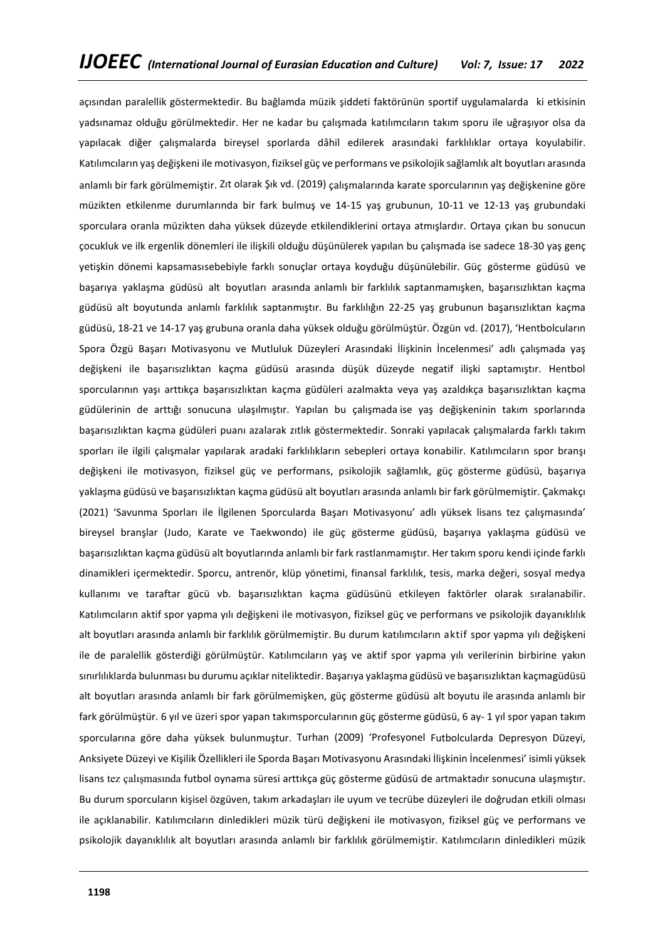açısından paralellik göstermektedir. Bu bağlamda müzik şiddeti faktörünün sportif uygulamalarda ki etkisinin yadsınamaz olduğu görülmektedir. Her ne kadar bu çalışmada katılımcıların takım sporu ile uğraşıyor olsa da yapılacak diğer çalışmalarda bireysel sporlarda dâhil edilerek arasındaki farklılıklar ortaya koyulabilir. Katılımcıların yaş değişkeni ile motivasyon, fiziksel güç ve performans ve psikolojik sağlamlık alt boyutları arasında anlamlı bir fark görülmemiştir. Zıt olarak Şık vd. (2019) çalışmalarında karate sporcularının yaş değişkenine göre müzikten etkilenme durumlarında bir fark bulmuş ve 14-15 yaş grubunun, 10-11 ve 12-13 yaş grubundaki sporculara oranla müzikten daha yüksek düzeyde etkilendiklerini ortaya atmışlardır. Ortaya çıkan bu sonucun çocukluk ve ilk ergenlik dönemleri ile ilişkili olduğu düşünülerek yapılan bu çalışmada ise sadece 18-30 yaş genç yetişkin dönemi kapsamasısebebiyle farklı sonuçlar ortaya koyduğu düşünülebilir. Güç gösterme güdüsü ve başarıya yaklaşma güdüsü alt boyutları arasında anlamlı bir farklılık saptanmamışken, başarısızlıktan kaçma güdüsü alt boyutunda anlamlı farklılık saptanmıştır. Bu farklılığın 22-25 yaş grubunun başarısızlıktan kaçma güdüsü, 18-21 ve 14-17 yaş grubuna oranla daha yüksek olduğu görülmüştür. Özgün vd. (2017), 'Hentbolcuların Spora Özgü Başarı Motivasyonu ve Mutluluk Düzeyleri Arasındaki İlişkinin İncelenmesi' adlı çalışmada yaş değişkeni ile başarısızlıktan kaçma güdüsü arasında düşük düzeyde negatif ilişki saptamıştır. Hentbol sporcularının yaşı arttıkça başarısızlıktan kaçma güdüleri azalmakta veya yaş azaldıkça başarısızlıktan kaçma güdülerinin de arttığı sonucuna ulaşılmıştır. Yapılan bu çalışmada ise yaş değişkeninin takım sporlarında başarısızlıktan kaçma güdüleri puanı azalarak zıtlık göstermektedir. Sonraki yapılacak çalışmalarda farklı takım sporları ile ilgili çalışmalar yapılarak aradaki farklılıkların sebepleri ortaya konabilir. Katılımcıların spor branşı değişkeni ile motivasyon, fiziksel güç ve performans, psikolojik sağlamlık, güç gösterme güdüsü, başarıya yaklaşma güdüsü ve başarısızlıktan kaçma güdüsü alt boyutları arasında anlamlı bir fark görülmemiştir. Çakmakçı (2021) 'Savunma Sporları ile İlgilenen Sporcularda Başarı Motivasyonu' adlı yüksek lisans tez çalışmasında' bireysel branşlar (Judo, Karate ve Taekwondo) ile güç gösterme güdüsü, başarıya yaklaşma güdüsü ve başarısızlıktan kaçma güdüsü alt boyutlarında anlamlı bir fark rastlanmamıştır. Her takım sporu kendi içinde farklı dinamikleri içermektedir. Sporcu, antrenör, klüp yönetimi, finansal farklılık, tesis, marka değeri, sosyal medya kullanımı ve taraftar gücü vb. başarısızlıktan kaçma güdüsünü etkileyen faktörler olarak sıralanabilir. Katılımcıların aktif spor yapma yılı değişkeni ile motivasyon, fiziksel güç ve performans ve psikolojik dayanıklılık alt boyutları arasında anlamlı bir farklılık görülmemiştir. Bu durum katılımcıların aktif spor yapma yılı değişkeni ile de paralellik gösterdiği görülmüştür. Katılımcıların yaş ve aktif spor yapma yılı verilerinin birbirine yakın sınırlılıklarda bulunması bu durumu açıklar niteliktedir. Başarıya yaklaşma güdüsü ve başarısızlıktan kaçmagüdüsü alt boyutları arasında anlamlı bir fark görülmemişken, güç gösterme güdüsü alt boyutu ile arasında anlamlı bir fark görülmüştür. 6 yıl ve üzeri spor yapan takımsporcularının güç gösterme güdüsü, 6 ay- 1 yıl spor yapan takım sporcularına göre daha yüksek bulunmuştur. Turhan (2009) 'Profesyonel Futbolcularda Depresyon Düzeyi, Anksiyete Düzeyi ve Kişilik Özellikleri ile Sporda Başarı Motivasyonu Arasındaki İlişkinin İncelenmesi' isimli yüksek lisans tez çalışmasında futbol oynama süresi arttıkça güç gösterme güdüsü de artmaktadır sonucuna ulaşmıştır. Bu durum sporcuların kişisel özgüven, takım arkadaşları ile uyum ve tecrübe düzeyleri ile doğrudan etkili olması ile açıklanabilir. Katılımcıların dinledikleri müzik türü değişkeni ile motivasyon, fiziksel güç ve performans ve psikolojik dayanıklılık alt boyutları arasında anlamlı bir farklılık görülmemiştir. Katılımcıların dinledikleri müzik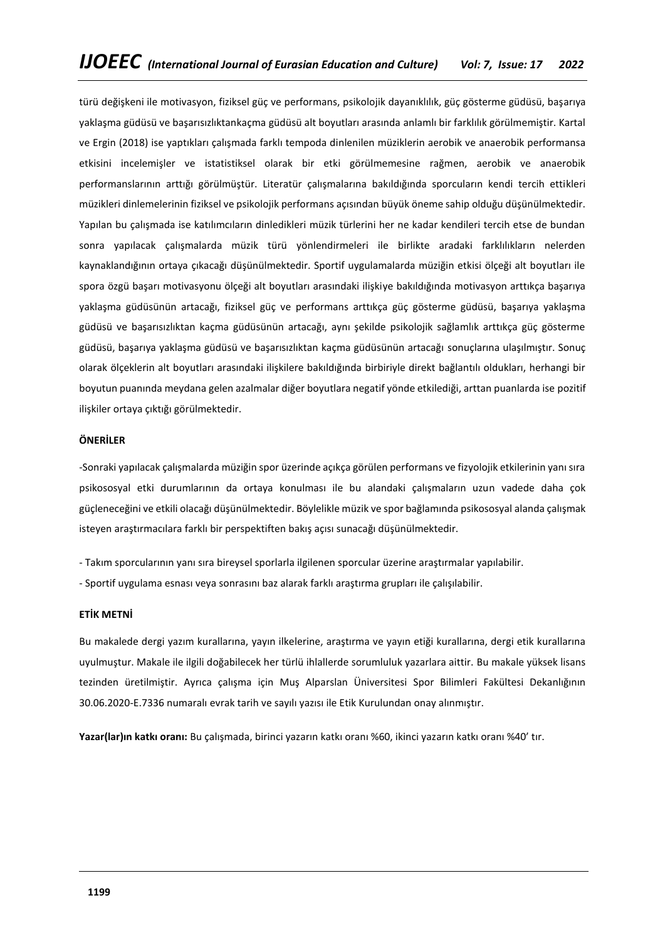türü değişkeni ile motivasyon, fiziksel güç ve performans, psikolojik dayanıklılık, güç gösterme güdüsü, başarıya yaklaşma güdüsü ve başarısızlıktankaçma güdüsü alt boyutları arasında anlamlı bir farklılık görülmemiştir. Kartal ve Ergin (2018) ise yaptıkları çalışmada farklı tempoda dinlenilen müziklerin aerobik ve anaerobik performansa etkisini incelemişler ve istatistiksel olarak bir etki görülmemesine rağmen, aerobik ve anaerobik performanslarının arttığı görülmüştür. Literatür çalışmalarına bakıldığında sporcuların kendi tercih ettikleri müzikleri dinlemelerinin fiziksel ve psikolojik performans açısından büyük öneme sahip olduğu düşünülmektedir. Yapılan bu çalışmada ise katılımcıların dinledikleri müzik türlerini her ne kadar kendileri tercih etse de bundan sonra yapılacak çalışmalarda müzik türü yönlendirmeleri ile birlikte aradaki farklılıkların nelerden kaynaklandığının ortaya çıkacağı düşünülmektedir. Sportif uygulamalarda müziğin etkisi ölçeği alt boyutları ile spora özgü başarı motivasyonu ölçeği alt boyutları arasındaki ilişkiye bakıldığında motivasyon arttıkça başarıya yaklaşma güdüsünün artacağı, fiziksel güç ve performans arttıkça güç gösterme güdüsü, başarıya yaklaşma güdüsü ve başarısızlıktan kaçma güdüsünün artacağı, aynı şekilde psikolojik sağlamlık arttıkça güç gösterme güdüsü, başarıya yaklaşma güdüsü ve başarısızlıktan kaçma güdüsünün artacağı sonuçlarına ulaşılmıştır. Sonuç olarak ölçeklerin alt boyutları arasındaki ilişkilere bakıldığında birbiriyle direkt bağlantılı oldukları, herhangi bir boyutun puanında meydana gelen azalmalar diğer boyutlara negatif yönde etkilediği, arttan puanlarda ise pozitif ilişkiler ortaya çıktığı görülmektedir.

# **ÖNERİLER**

-Sonraki yapılacak çalışmalarda müziğin spor üzerinde açıkça görülen performans ve fizyolojik etkilerinin yanı sıra psikososyal etki durumlarının da ortaya konulması ile bu alandaki çalışmaların uzun vadede daha çok güçleneceğini ve etkili olacağı düşünülmektedir. Böylelikle müzik ve spor bağlamında psikososyal alanda çalışmak isteyen araştırmacılara farklı bir perspektiften bakış açısı sunacağı düşünülmektedir.

- Takım sporcularının yanı sıra bireysel sporlarla ilgilenen sporcular üzerine araştırmalar yapılabilir.
- Sportif uygulama esnası veya sonrasını baz alarak farklı araştırma grupları ile çalışılabilir.

# **ETİK METNİ**

Bu makalede dergi yazım kurallarına, yayın ilkelerine, araştırma ve yayın etiği kurallarına, dergi etik kurallarına uyulmuştur. Makale ile ilgili doğabilecek her türlü ihlallerde sorumluluk yazarlara aittir. Bu makale yüksek lisans tezinden üretilmiştir. Ayrıca çalışma için Muş Alparslan Üniversitesi Spor Bilimleri Fakültesi Dekanlığının 30.06.2020-E.7336 numaralı evrak tarih ve sayılı yazısı ile Etik Kurulundan onay alınmıştır.

**Yazar(lar)ın katkı oranı:** Bu çalışmada, birinci yazarın katkı oranı %60, ikinci yazarın katkı oranı %40' tır.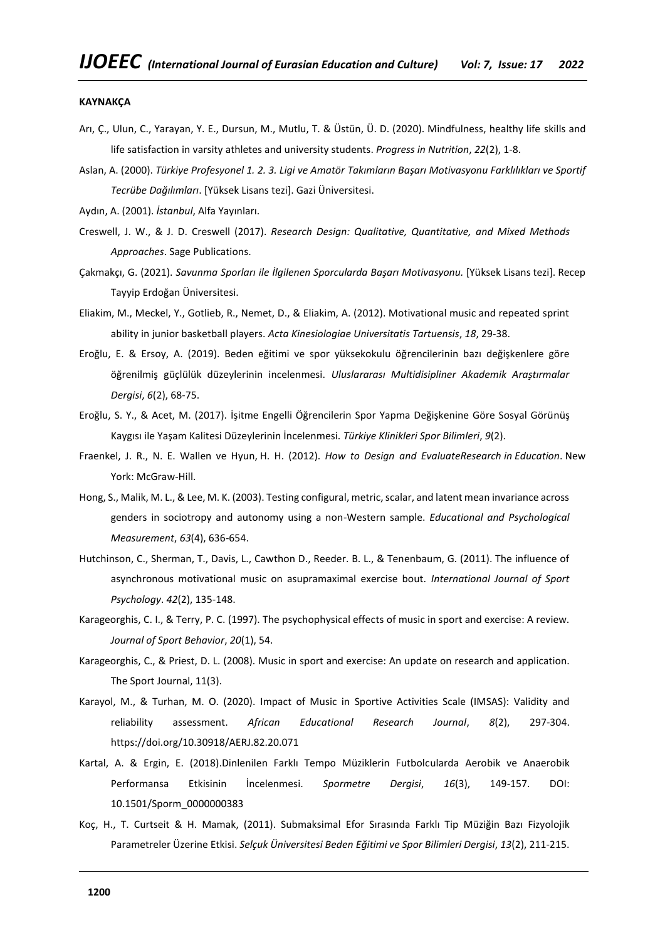#### **KAYNAKÇA**

- Arı, Ç., Ulun, C., Yarayan, Y. E., Dursun, M., Mutlu, T. & Üstün, Ü. D. (2020). Mindfulness, healthy life skills and life satisfaction in varsity athletes and university students. *Progress in Nutrition*, *22*(2), 1-8.
- Aslan, A. (2000). *Türkiye Profesyonel 1. 2. 3. Ligi ve Amatör Takımların Başarı Motivasyonu Farklılıkları ve Sportif Tecrübe Dağılımları*. [Yüksek Lisans tezi]. Gazi Üniversitesi.
- Aydın, A. (2001). *İstanbul*, Alfa Yayınları.
- Creswell, J. W., & J. D. Creswell (2017). *Research Design: Qualitative, Quantitative, and Mixed Methods Approaches*. Sage Publications.
- Çakmakçı, G. (2021). *Savunma Sporları ile İlgilenen Sporcularda Başarı Motivasyonu.* [Yüksek Lisans tezi]. Recep Tayyip Erdoğan Üniversitesi.
- Eliakim, M., Meckel, Y., Gotlieb, R., Nemet, D., & Eliakim, A. (2012). Motivational music and repeated sprint ability in junior basketball players. *Acta Kinesiologiae Universitatis Tartuensis*, *18*, 29-38.
- Eroğlu, E. & Ersoy, A. (2019). Beden eğitimi ve spor yüksekokulu öğrencilerinin bazı değişkenlere göre öğrenilmiş güçlülük düzeylerinin incelenmesi. *Uluslararası Multidisipliner Akademik Araştırmalar Dergisi*, *6*(2), 68-75.
- Eroğlu, S. Y., & Acet, M. (2017). İşitme Engelli Öğrencilerin Spor Yapma Değişkenine Göre Sosyal Görünüş Kaygısı ile Yaşam Kalitesi Düzeylerinin İncelenmesi. *Türkiye Klinikleri Spor Bilimleri*, *9*(2).
- Fraenkel, J. R., N. E. Wallen ve Hyun, H. H. (2012). *How to Design and EvaluateResearch in Education*. New York: McGraw-Hill.
- Hong, S., Malik, M. L., & Lee, M. K. (2003). Testing configural, metric, scalar, and latent mean invariance across genders in sociotropy and autonomy using a non-Western sample. *Educational and Psychological Measurement*, *63*(4), 636-654.
- Hutchinson, C., Sherman, T., Davis, L., Cawthon D., Reeder. B. L., & Tenenbaum, G. (2011). The influence of asynchronous motivational music on asupramaximal exercise bout. *International Journal of Sport Psychology*. *42*(2), 135-148.
- Karageorghis, C. I., & Terry, P. C. (1997). The psychophysical effects of music in sport and exercise: A review. *Journal of Sport Behavior*, *20*(1), 54.
- Karageorghis, C., & Priest, D. L. (2008). Music in sport and exercise: An update on research and application. The Sport Journal, 11(3).
- Karayol, M., & Turhan, M. O. (2020). Impact of Music in Sportive Activities Scale (IMSAS): Validity and reliability assessment. *African Educational Research Journal*, *8*(2), 297-304. https://doi.org/10.30918/AERJ.82.20.071
- Kartal, A. & Ergin, E. (2018).Dinlenilen Farklı Tempo Müziklerin Futbolcularda Aerobik ve Anaerobik Performansa Etkisinin İncelenmesi. *Spormetre Dergisi*, *16*(3), 149-157. DOI: 10.1501/Sporm\_0000000383
- Koç, H., T. Curtseit & H. Mamak, (2011). Submaksimal Efor Sırasında Farklı Tip Müziğin Bazı Fizyolojik Parametreler Üzerine Etkisi. *Selçuk Üniversitesi Beden Eğitimi ve Spor Bilimleri Dergisi*, *13*(2), 211-215.